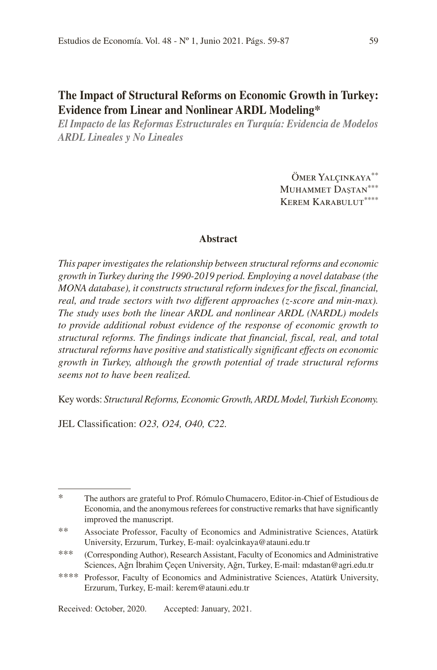# **The Impact of Structural Reforms on Economic Growth in Turkey: Evidence from Linear and Nonlinear ARDL Modeling\*1**

*El Impacto de las Reformas Estructurales en Turquía: Evidencia de Modelos ARDL Lineales y No Lineales*

> ÖMER YALÇINKAYA\*\* MUHAMMET DASTAN\*\*\* KEREM KARABULUT\*\*\*\*

# **Abstract**

*This paper investigates the relationship between structural reforms and economic growth in Turkey during the 1990-2019 period. Employing a novel database (the MONA database), it constructs structural reform indexes for the fiscal, financial, real, and trade sectors with two different approaches (z-score and min-max). The study uses both the linear ARDL and nonlinear ARDL (NARDL) models to provide additional robust evidence of the response of economic growth to structural reforms. The findings indicate that financial, fiscal, real, and total structural reforms have positive and statistically significant effects on economic growth in Turkey, although the growth potential of trade structural reforms seems not to have been realized.*

Key words: *Structural Reforms, Economic Growth, ARDL Model, Turkish Economy.*

JEL Classification: *O23, O24, O40, C22.*

Received: October, 2020. Accepted: January, 2021.

<sup>\*</sup> The authors are grateful to Prof. Rómulo Chumacero, Editor-in-Chief of Estudious de Economia, and the anonymous referees for constructive remarks that have significantly improved the manuscript.

<sup>\*\*</sup> Associate Professor, Faculty of Economics and Administrative Sciences, Atatürk University, Erzurum, Turkey, E-mail: oyalcinkaya@atauni.edu.tr

<sup>\*\*\*</sup> (Corresponding Author), Research Assistant, Faculty of Economics and Administrative Sciences, Ağrı İbrahim Çeçen University, Ağrı, Turkey, E-mail: mdastan@agri.edu.tr

<sup>\*\*\*\*</sup> Professor, Faculty of Economics and Administrative Sciences, Atatürk University, Erzurum, Turkey, E-mail: kerem@atauni.edu.tr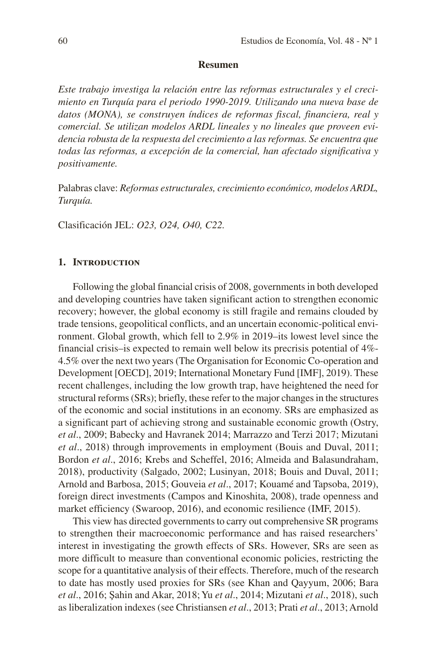#### **Resumen**

*Este trabajo investiga la relación entre las reformas estructurales y el crecimiento en Turquía para el periodo 1990-2019. Utilizando una nueva base de datos (MONA), se construyen índices de reformas fiscal, financiera, real y comercial. Se utilizan modelos ARDL lineales y no lineales que proveen evidencia robusta de la respuesta del crecimiento a las reformas. Se encuentra que todas las reformas, a excepción de la comercial, han afectado significativa y positivamente.*

Palabras clave: *Reformas estructurales, crecimiento económico, modelos ARDL, Turquía.*

Clasificación JEL: *O23, O24, O40, C22.*

#### **1. Introduction**

Following the global financial crisis of 2008, governments in both developed and developing countries have taken significant action to strengthen economic recovery; however, the global economy is still fragile and remains clouded by trade tensions, geopolitical conflicts, and an uncertain economic-political environment. Global growth, which fell to 2.9% in 2019–its lowest level since the financial crisis–is expected to remain well below its precrisis potential of 4%- 4.5% over the next two years (The Organisation for Economic Co-operation and Development [OECD], 2019; International Monetary Fund [IMF], 2019). These recent challenges, including the low growth trap, have heightened the need for structural reforms (SRs); briefly, these refer to the major changes in the structures of the economic and social institutions in an economy. SRs are emphasized as a significant part of achieving strong and sustainable economic growth (Ostry, *et al*., 2009; Babecky and Havranek 2014; Marrazzo and Terzi 2017; Mizutani *et al*., 2018) through improvements in employment (Bouis and Duval, 2011; Bordon *et al*., 2016; Krebs and Scheffel, 2016; Almeida and Balasundraham, 2018), productivity (Salgado, 2002; Lusinyan, 2018; Bouis and Duval, 2011; Arnold and Barbosa, 2015; Gouveia *et al*., 2017; Kouamé and Tapsoba, 2019), foreign direct investments (Campos and Kinoshita, 2008), trade openness and market efficiency (Swaroop, 2016), and economic resilience (IMF, 2015).

This view has directed governments to carry out comprehensive SR programs to strengthen their macroeconomic performance and has raised researchers' interest in investigating the growth effects of SRs. However, SRs are seen as more difficult to measure than conventional economic policies, restricting the scope for a quantitative analysis of their effects. Therefore, much of the research to date has mostly used proxies for SRs (see Khan and Qayyum, 2006; Bara *et al*., 2016; Şahin and Akar, 2018; Yu *et al*., 2014; Mizutani *et al*., 2018), such as liberalization indexes (see Christiansen *et al*., 2013; Prati *et al*., 2013; Arnold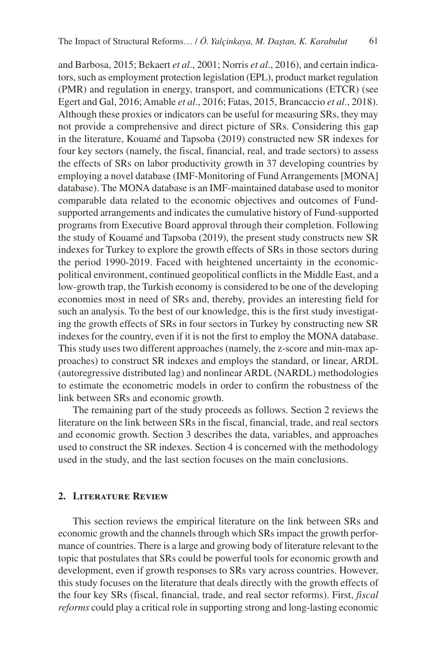and Barbosa, 2015; Bekaert *et al*., 2001; Norris *et al*., 2016), and certain indicators, such as employment protection legislation (EPL), product market regulation (PMR) and regulation in energy, transport, and communications (ETCR) (see Egert and Gal, 2016; Amable *et al*., 2016; Fatas, 2015, Brancaccio *et al*., 2018). Although these proxies or indicators can be useful for measuring SRs, they may not provide a comprehensive and direct picture of SRs. Considering this gap in the literature, Kouamé and Tapsoba (2019) constructed new SR indexes for four key sectors (namely, the fiscal, financial, real, and trade sectors) to assess the effects of SRs on labor productivity growth in 37 developing countries by employing a novel database (IMF-Monitoring of Fund Arrangements [MONA] database). The MONA database is an IMF-maintained database used to monitor comparable data related to the economic objectives and outcomes of Fundsupported arrangements and indicates the cumulative history of Fund-supported programs from Executive Board approval through their completion. Following the study of Kouamé and Tapsoba (2019), the present study constructs new SR indexes for Turkey to explore the growth effects of SRs in those sectors during the period 1990-2019. Faced with heightened uncertainty in the economicpolitical environment, continued geopolitical conflicts in the Middle East, and a low-growth trap, the Turkish economy is considered to be one of the developing economies most in need of SRs and, thereby, provides an interesting field for such an analysis. To the best of our knowledge, this is the first study investigating the growth effects of SRs in four sectors in Turkey by constructing new SR indexes for the country, even if it is not the first to employ the MONA database. This study uses two different approaches (namely, the z-score and min-max approaches) to construct SR indexes and employs the standard, or linear, ARDL (autoregressive distributed lag) and nonlinear ARDL (NARDL) methodologies to estimate the econometric models in order to confirm the robustness of the link between SRs and economic growth.

The remaining part of the study proceeds as follows. Section 2 reviews the literature on the link between SRs in the fiscal, financial, trade, and real sectors and economic growth. Section 3 describes the data, variables, and approaches used to construct the SR indexes. Section 4 is concerned with the methodology used in the study, and the last section focuses on the main conclusions.

#### **2. Literature Review**

This section reviews the empirical literature on the link between SRs and economic growth and the channels through which SRs impact the growth performance of countries. There is a large and growing body of literature relevant to the topic that postulates that SRs could be powerful tools for economic growth and development, even if growth responses to SRs vary across countries. However, this study focuses on the literature that deals directly with the growth effects of the four key SRs (fiscal, financial, trade, and real sector reforms). First, *fiscal reforms* could play a critical role in supporting strong and long-lasting economic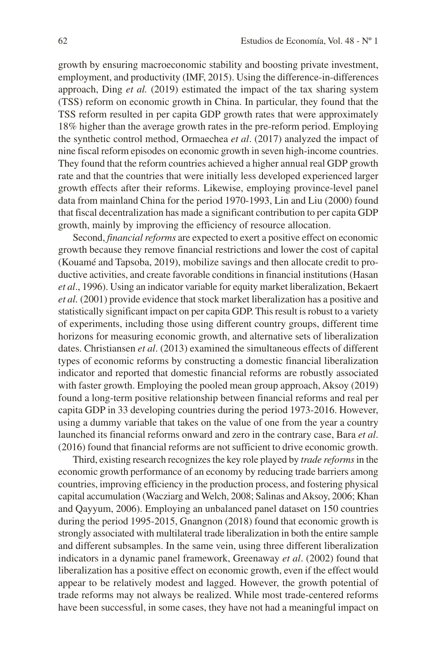growth by ensuring macroeconomic stability and boosting private investment, employment, and productivity (IMF, 2015). Using the difference-in-differences approach, Ding *et al.* (2019) estimated the impact of the tax sharing system (TSS) reform on economic growth in China. In particular, they found that the TSS reform resulted in per capita GDP growth rates that were approximately 18% higher than the average growth rates in the pre-reform period. Employing the synthetic control method, Ormaechea *et al*. (2017) analyzed the impact of nine fiscal reform episodes on economic growth in seven high-income countries. They found that the reform countries achieved a higher annual real GDP growth rate and that the countries that were initially less developed experienced larger growth effects after their reforms. Likewise, employing province-level panel data from mainland China for the period 1970-1993, Lin and Liu (2000) found that fiscal decentralization has made a significant contribution to per capita GDP growth, mainly by improving the efficiency of resource allocation.

Second, *financial reforms* are expected to exert a positive effect on economic growth because they remove financial restrictions and lower the cost of capital (Kouamé and Tapsoba, 2019), mobilize savings and then allocate credit to productive activities, and create favorable conditions in financial institutions (Hasan *et al*., 1996). Using an indicator variable for equity market liberalization, Bekaert *et al.* (2001) provide evidence that stock market liberalization has a positive and statistically significant impact on per capita GDP. This result is robust to a variety of experiments, including those using different country groups, different time horizons for measuring economic growth, and alternative sets of liberalization dates. Christiansen *et al*. (2013) examined the simultaneous effects of different types of economic reforms by constructing a domestic financial liberalization indicator and reported that domestic financial reforms are robustly associated with faster growth. Employing the pooled mean group approach, Aksoy (2019) found a long-term positive relationship between financial reforms and real per capita GDP in 33 developing countries during the period 1973-2016. However, using a dummy variable that takes on the value of one from the year a country launched its financial reforms onward and zero in the contrary case, Bara *et al*. (2016) found that financial reforms are not sufficient to drive economic growth.

Third, existing research recognizes the key role played by *trade reforms* in the economic growth performance of an economy by reducing trade barriers among countries, improving efficiency in the production process, and fostering physical capital accumulation (Wacziarg and Welch, 2008; Salinas and Aksoy, 2006; Khan and Qayyum, 2006). Employing an unbalanced panel dataset on 150 countries during the period 1995-2015, Gnangnon (2018) found that economic growth is strongly associated with multilateral trade liberalization in both the entire sample and different subsamples. In the same vein, using three different liberalization indicators in a dynamic panel framework, Greenaway *et al*. (2002) found that liberalization has a positive effect on economic growth, even if the effect would appear to be relatively modest and lagged. However, the growth potential of trade reforms may not always be realized. While most trade-centered reforms have been successful, in some cases, they have not had a meaningful impact on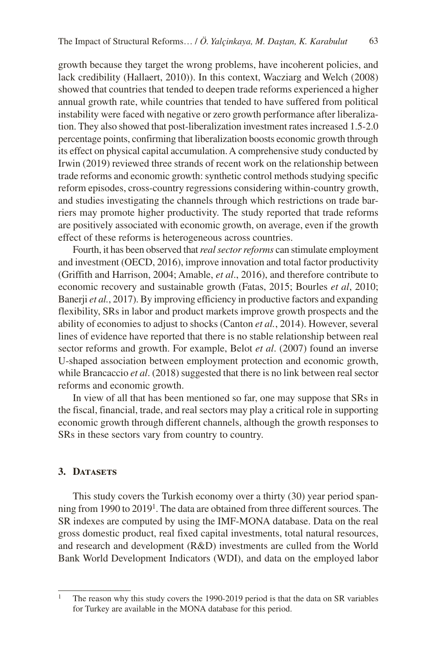growth because they target the wrong problems, have incoherent policies, and lack credibility (Hallaert, 2010)). In this context, Wacziarg and Welch (2008) showed that countries that tended to deepen trade reforms experienced a higher annual growth rate, while countries that tended to have suffered from political instability were faced with negative or zero growth performance after liberalization. They also showed that post-liberalization investment rates increased 1.5-2.0 percentage points, confirming that liberalization boosts economic growth through its effect on physical capital accumulation. A comprehensive study conducted by Irwin (2019) reviewed three strands of recent work on the relationship between trade reforms and economic growth: synthetic control methods studying specific reform episodes, cross-country regressions considering within-country growth, and studies investigating the channels through which restrictions on trade barriers may promote higher productivity. The study reported that trade reforms are positively associated with economic growth, on average, even if the growth effect of these reforms is heterogeneous across countries.

Fourth, it has been observed that *real sector reforms* can stimulate employment and investment (OECD, 2016), improve innovation and total factor productivity (Griffith and Harrison, 2004; Amable, *et al*., 2016), and therefore contribute to economic recovery and sustainable growth (Fatas, 2015; Bourles *et al*, 2010; Banerji *et al.*, 2017). By improving efficiency in productive factors and expanding flexibility, SRs in labor and product markets improve growth prospects and the ability of economies to adjust to shocks (Canton *et al.*, 2014). However, several lines of evidence have reported that there is no stable relationship between real sector reforms and growth. For example, Belot *et al*. (2007) found an inverse U-shaped association between employment protection and economic growth, while Brancaccio *et al*. (2018) suggested that there is no link between real sector reforms and economic growth.

In view of all that has been mentioned so far, one may suppose that SRs in the fiscal, financial, trade, and real sectors may play a critical role in supporting economic growth through different channels, although the growth responses to SRs in these sectors vary from country to country.

#### **3. Datasets**

This study covers the Turkish economy over a thirty (30) year period spanning from 1990 to 2019<sup>1</sup>. The data are obtained from three different sources. The SR indexes are computed by using the IMF-MONA database. Data on the real gross domestic product, real fixed capital investments, total natural resources, and research and development (R&D) investments are culled from the World Bank World Development Indicators (WDI), and data on the employed labor

<sup>&</sup>lt;sup>1</sup> The reason why this study covers the 1990-2019 period is that the data on SR variables for Turkey are available in the MONA database for this period.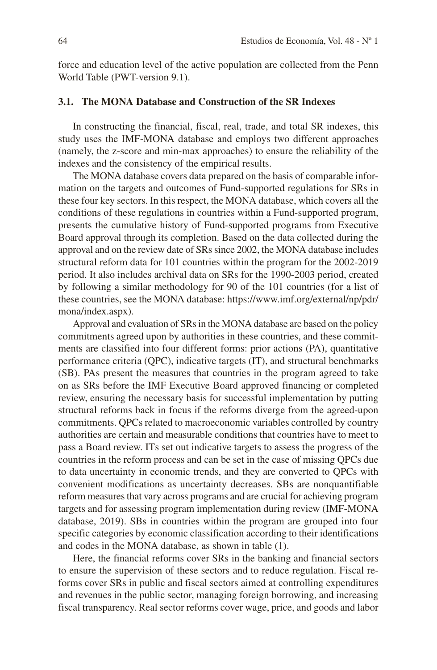force and education level of the active population are collected from the Penn World Table (PWT-version 9.1).

# **3.1. The MONA Database and Construction of the SR Indexes**

In constructing the financial, fiscal, real, trade, and total SR indexes, this study uses the IMF-MONA database and employs two different approaches (namely, the z-score and min-max approaches) to ensure the reliability of the indexes and the consistency of the empirical results.

The MONA database covers data prepared on the basis of comparable information on the targets and outcomes of Fund-supported regulations for SRs in these four key sectors. In this respect, the MONA database, which covers all the conditions of these regulations in countries within a Fund-supported program, presents the cumulative history of Fund-supported programs from Executive Board approval through its completion. Based on the data collected during the approval and on the review date of SRs since 2002, the MONA database includes structural reform data for 101 countries within the program for the 2002-2019 period. It also includes archival data on SRs for the 1990-2003 period, created by following a similar methodology for 90 of the 101 countries (for a list of these countries, see the MONA database: https://www.imf.org/external/np/pdr/ mona/index.aspx).

Approval and evaluation of SRs in the MONA database are based on the policy commitments agreed upon by authorities in these countries, and these commitments are classified into four different forms: prior actions (PA), quantitative performance criteria (QPC), indicative targets (IT), and structural benchmarks (SB). PAs present the measures that countries in the program agreed to take on as SRs before the IMF Executive Board approved financing or completed review, ensuring the necessary basis for successful implementation by putting structural reforms back in focus if the reforms diverge from the agreed-upon commitments. QPCs related to macroeconomic variables controlled by country authorities are certain and measurable conditions that countries have to meet to pass a Board review. ITs set out indicative targets to assess the progress of the countries in the reform process and can be set in the case of missing QPCs due to data uncertainty in economic trends, and they are converted to QPCs with convenient modifications as uncertainty decreases. SBs are nonquantifiable reform measures that vary across programs and are crucial for achieving program targets and for assessing program implementation during review (IMF-MONA database, 2019). SBs in countries within the program are grouped into four specific categories by economic classification according to their identifications and codes in the MONA database, as shown in table (1).

Here, the financial reforms cover SRs in the banking and financial sectors to ensure the supervision of these sectors and to reduce regulation. Fiscal reforms cover SRs in public and fiscal sectors aimed at controlling expenditures and revenues in the public sector, managing foreign borrowing, and increasing fiscal transparency. Real sector reforms cover wage, price, and goods and labor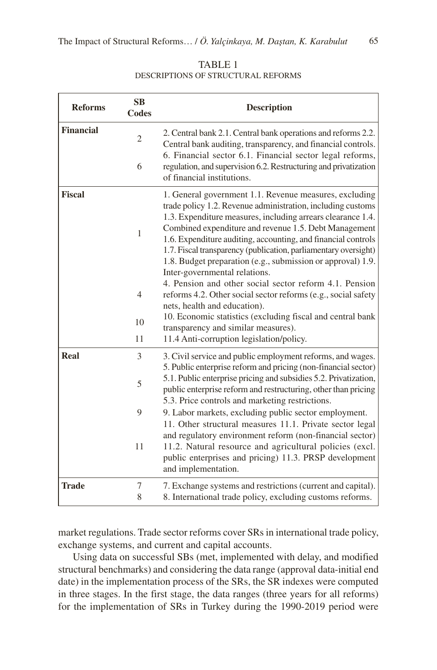| <b>Reforms</b>   | SB<br><b>Codes</b> | <b>Description</b>                                                                                                                                                                                                                                                                                                                                                                                                                                                                |
|------------------|--------------------|-----------------------------------------------------------------------------------------------------------------------------------------------------------------------------------------------------------------------------------------------------------------------------------------------------------------------------------------------------------------------------------------------------------------------------------------------------------------------------------|
| <b>Financial</b> | $\mathfrak{2}$     | 2. Central bank 2.1. Central bank operations and reforms 2.2.<br>Central bank auditing, transparency, and financial controls.<br>6. Financial sector 6.1. Financial sector legal reforms,                                                                                                                                                                                                                                                                                         |
|                  | 6                  | regulation, and supervision 6.2. Restructuring and privatization<br>of financial institutions.                                                                                                                                                                                                                                                                                                                                                                                    |
| <b>Fiscal</b>    | 1                  | 1. General government 1.1. Revenue measures, excluding<br>trade policy 1.2. Revenue administration, including customs<br>1.3. Expenditure measures, including arrears clearance 1.4.<br>Combined expenditure and revenue 1.5. Debt Management<br>1.6. Expenditure auditing, accounting, and financial controls<br>1.7. Fiscal transparency (publication, parliamentary oversight)<br>1.8. Budget preparation (e.g., submission or approval) 1.9.<br>Inter-governmental relations. |
|                  | 4                  | 4. Pension and other social sector reform 4.1. Pension<br>reforms 4.2. Other social sector reforms (e.g., social safety<br>nets, health and education).                                                                                                                                                                                                                                                                                                                           |
|                  | 10                 | 10. Economic statistics (excluding fiscal and central bank<br>transparency and similar measures).                                                                                                                                                                                                                                                                                                                                                                                 |
|                  | 11                 | 11.4 Anti-corruption legislation/policy.                                                                                                                                                                                                                                                                                                                                                                                                                                          |
| Real             | 3                  | 3. Civil service and public employment reforms, and wages.<br>5. Public enterprise reform and pricing (non-financial sector)                                                                                                                                                                                                                                                                                                                                                      |
|                  | 5                  | 5.1. Public enterprise pricing and subsidies 5.2. Privatization,<br>public enterprise reform and restructuring, other than pricing<br>5.3. Price controls and marketing restrictions.                                                                                                                                                                                                                                                                                             |
|                  | 9                  | 9. Labor markets, excluding public sector employment.<br>11. Other structural measures 11.1. Private sector legal                                                                                                                                                                                                                                                                                                                                                                 |
|                  | 11                 | and regulatory environment reform (non-financial sector)<br>11.2. Natural resource and agricultural policies (excl.<br>public enterprises and pricing) 11.3. PRSP development<br>and implementation.                                                                                                                                                                                                                                                                              |
| <b>Trade</b>     | 7<br>8             | 7. Exchange systems and restrictions (current and capital).<br>8. International trade policy, excluding customs reforms.                                                                                                                                                                                                                                                                                                                                                          |

TABLE 1 DESCRIPTIONS OF STRUCTURAL REFORMS

market regulations. Trade sector reforms cover SRs in international trade policy, exchange systems, and current and capital accounts.

Using data on successful SBs (met, implemented with delay, and modified structural benchmarks) and considering the data range (approval data-initial end date) in the implementation process of the SRs, the SR indexes were computed in three stages. In the first stage, the data ranges (three years for all reforms) for the implementation of SRs in Turkey during the 1990-2019 period were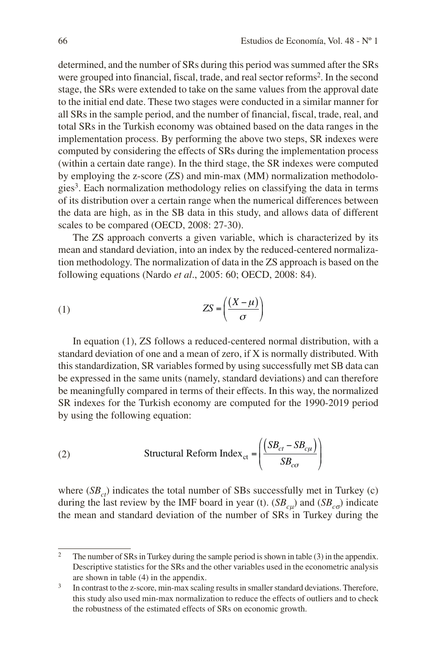determined, and the number of SRs during this period was summed after the SRs were grouped into financial, fiscal, trade, and real sector reforms<sup>2</sup>. In the second stage, the SRs were extended to take on the same values from the approval date to the initial end date. These two stages were conducted in a similar manner for all SRs in the sample period, and the number of financial, fiscal, trade, real, and total SRs in the Turkish economy was obtained based on the data ranges in the implementation process. By performing the above two steps, SR indexes were computed by considering the effects of SRs during the implementation process (within a certain date range). In the third stage, the SR indexes were computed by employing the z-score (ZS) and min-max (MM) normalization methodologies<sup>3</sup>. Each normalization methodology relies on classifying the data in terms of its distribution over a certain range when the numerical differences between the data are high, as in the SB data in this study, and allows data of different scales to be compared (OECD, 2008: 27-30).

The ZS approach converts a given variable, which is characterized by its mean and standard deviation, into an index by the reduced-centered normalization methodology. The normalization of data in the ZS approach is based on the following equations (Nardo *et al*., 2005: 60; OECD, 2008: 84).

$$
(1) \t\t\t ZS = \left(\frac{(X-\mu)}{\sigma}\right)
$$

In equation (1), ZS follows a reduced-centered normal distribution, with a standard deviation of one and a mean of zero, if X is normally distributed. With this standardization, SR variables formed by using successfully met SB data can be expressed in the same units (namely, standard deviations) and can therefore be meaningfully compared in terms of their effects. In this way, the normalized SR indexes for the Turkish economy are computed for the 1990-2019 period by using the following equation:

(2) 
$$
\text{Structural Reform Index}_{\text{ct}} = \left( \frac{(SB_{ct} - SB_{c\mu})}{SB_{c\sigma}} \right)
$$

where  $(SB<sub>ct</sub>)$  indicates the total number of SBs successfully met in Turkey (c) during the last review by the IMF board in year (t).  $(SB<sub>cu</sub>)$  and  $(SB<sub>c\sigma</sub>)$  indicate the mean and standard deviation of the number of SRs in Turkey during the

<sup>&</sup>lt;sup>2</sup> The number of SRs in Turkey during the sample period is shown in table (3) in the appendix. Descriptive statistics for the SRs and the other variables used in the econometric analysis are shown in table (4) in the appendix.

<sup>&</sup>lt;sup>3</sup> In contrast to the z-score, min-max scaling results in smaller standard deviations. Therefore, this study also used min-max normalization to reduce the effects of outliers and to check the robustness of the estimated effects of SRs on economic growth.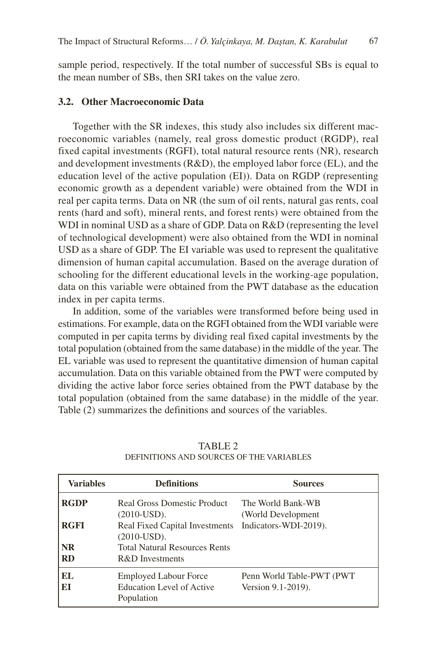sample period, respectively. If the total number of successful SBs is equal to the mean number of SBs, then SRI takes on the value zero.

# **3.2. Other Macroeconomic Data**

Together with the SR indexes, this study also includes six different macroeconomic variables (namely, real gross domestic product (RGDP), real fixed capital investments (RGFI), total natural resource rents (NR), research and development investments (R&D), the employed labor force (EL), and the education level of the active population (EI)). Data on RGDP (representing economic growth as a dependent variable) were obtained from the WDI in real per capita terms. Data on NR (the sum of oil rents, natural gas rents, coal rents (hard and soft), mineral rents, and forest rents) were obtained from the WDI in nominal USD as a share of GDP. Data on R&D (representing the level of technological development) were also obtained from the WDI in nominal USD as a share of GDP. The EI variable was used to represent the qualitative dimension of human capital accumulation. Based on the average duration of schooling for the different educational levels in the working-age population, data on this variable were obtained from the PWT database as the education index in per capita terms.

In addition, some of the variables were transformed before being used in estimations. For example, data on the RGFI obtained from the WDI variable were computed in per capita terms by dividing real fixed capital investments by the total population (obtained from the same database) in the middle of the year. The EL variable was used to represent the quantitative dimension of human capital accumulation. Data on this variable obtained from the PWT were computed by dividing the active labor force series obtained from the PWT database by the total population (obtained from the same database) in the middle of the year. Table (2) summarizes the definitions and sources of the variables.

| <b>Variables</b>                      | <b>Definitions</b>                                                                                          | <b>Sources</b>                                  |
|---------------------------------------|-------------------------------------------------------------------------------------------------------------|-------------------------------------------------|
| <b>RGDP</b>                           | Real Gross Domestic Product<br>$(2010$ -USD).                                                               | The World Bank-WB<br>(World Development)        |
| <b>RGFI</b><br><b>NR</b><br><b>RD</b> | Real Fixed Capital Investments<br>$(2010$ -USD).<br><b>Total Natural Resources Rents</b><br>R&D Investments | Indicators-WDI-2019).                           |
| EL.<br>EI                             | <b>Employed Labour Force</b><br>Education Level of Active<br>Population                                     | Penn World Table-PWT (PWT<br>Version 9.1-2019). |

TABLE 2 DEFINITIONS AND SOURCES OF THE VARIABLES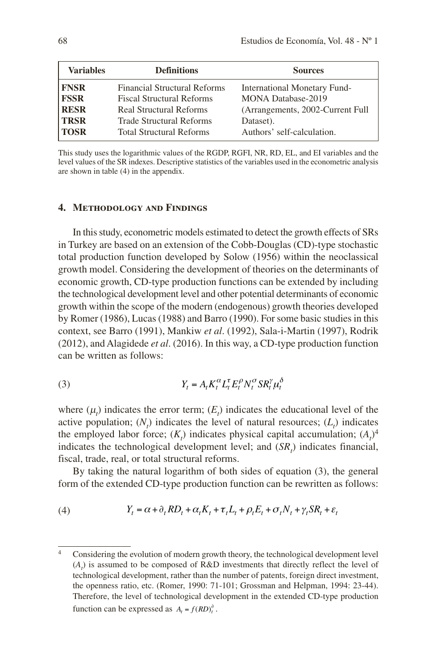| <b>Variables</b> | <b>Definitions</b>                  | <b>Sources</b>                      |
|------------------|-------------------------------------|-------------------------------------|
| <b>FNSR</b>      | <b>Financial Structural Reforms</b> | <b>International Monetary Fund-</b> |
| <b>FSSR</b>      | <b>Fiscal Structural Reforms</b>    | <b>MONA Database-2019</b>           |
| <b>RESR</b>      | <b>Real Structural Reforms</b>      | (Arrangements, 2002-Current Full)   |
| <b>TRSR</b>      | <b>Trade Structural Reforms</b>     | Dataset).                           |
| <b>TOSR</b>      | <b>Total Structural Reforms</b>     | Authors' self-calculation.          |

This study uses the logarithmic values of the RGDP, RGFI, NR, RD, EL, and EI variables and the level values of the SR indexes. Descriptive statistics of the variables used in the econometric analysis are shown in table (4) in the appendix.

#### **4. Methodology and Findings**

In this study, econometric models estimated to detect the growth effects of SRs in Turkey are based on an extension of the Cobb-Douglas (CD)-type stochastic total production function developed by Solow (1956) within the neoclassical growth model. Considering the development of theories on the determinants of economic growth, CD-type production functions can be extended by including the technological development level and other potential determinants of economic growth within the scope of the modern (endogenous) growth theories developed by Romer (1986), Lucas (1988) and Barro (1990). For some basic studies in this context, see Barro (1991), Mankiw *et al*. (1992), Sala-i-Martin (1997), Rodrik (2012), and Alagidede *et al*. (2016). In this way, a CD-type production function can be written as follows:

$$
(3) \t Y_t = A_t K_t^{\alpha} L_t^{\tau} E_t^{\rho} N_t^{\sigma} S R_t^{\gamma} \mu_t^{\delta}
$$

where  $(\mu_t)$  indicates the error term;  $(E_t)$  indicates the educational level of the active population;  $(N_t)$  indicates the level of natural resources;  $(L_t)$  indicates the employed labor force;  $(K_t)$  indicates physical capital accumulation;  $(A_t)^4$ indicates the technological development level; and  $(SR<sub>t</sub>)$  indicates financial, fiscal, trade, real, or total structural reforms.

By taking the natural logarithm of both sides of equation (3), the general form of the extended CD-type production function can be rewritten as follows:

(4) 
$$
Y_t = \alpha + \partial_t R D_t + \alpha_t K_t + \tau_t L_t + \rho_t E_t + \sigma_t N_t + \gamma_t S R_t + \varepsilon_t
$$

<sup>4</sup> Considering the evolution of modern growth theory, the technological development level  $(A_t)$  is assumed to be composed of R&D investments that directly reflect the level of technological development, rather than the number of patents, foreign direct investment, the openness ratio, etc. (Romer, 1990: 71-101; Grossman and Helpman, 1994: 23-44). Therefore, the level of technological development in the extended CD-type production function can be expressed as  $A_t = f(RD)_t^{\partial}$ .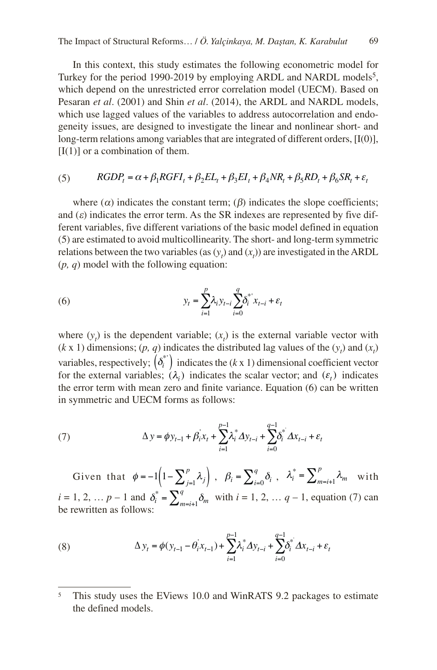In this context, this study estimates the following econometric model for Turkey for the period 1990-2019 by employing ARDL and NARDL models<sup>5</sup>, which depend on the unrestricted error correlation model (UECM). Based on Pesaran *et al*. (2001) and Shin *et al*. (2014), the ARDL and NARDL models, which use lagged values of the variables to address autocorrelation and endogeneity issues, are designed to investigate the linear and nonlinear short- and long-term relations among variables that are integrated of different orders, [I(0)],  $[I(1)]$  or a combination of them.

# (5)  $RGDP_t = \alpha + \beta_1 RGFI_t + \beta_2 EL_t + \beta_3 EI_t + \beta_4 NR_t + \beta_5 RD_t + \beta_6 SR_t + \varepsilon_t$

where  $(\alpha)$  indicates the constant term;  $(\beta)$  indicates the slope coefficients; and  $(\varepsilon)$  indicates the error term. As the SR indexes are represented by five different variables, five different variations of the basic model defined in equation (5) are estimated to avoid multicollinearity. The short- and long-term symmetric relations between the two variables (as  $(y_t)$  and  $(x_t)$ ) are investigated in the ARDL (*p, q*) model with the following equation:

(6) 
$$
y_{t} = \sum_{i=1}^{p} \lambda_{i} y_{t-i} \sum_{i=0}^{q} \delta_{i}^{*} x_{t-i} + \varepsilon_{t}
$$

where  $(y_t)$  is the dependent variable;  $(x_t)$  is the external variable vector with  $(k \times 1)$  dimensions;  $(p, q)$  indicates the distributed lag values of the  $(y_t)$  and  $(x_t)$ variables, respectively;  $\left(\delta_i^*\right)$  indicates the  $(k \times 1)$  dimensional coefficient vector for the external variables;  $(\lambda_i)$  indicates the scalar vector; and  $(\varepsilon_t)$  indicates the error term with mean zero and finite variance. Equation (6) can be written in symmetric and UECM forms as follows:

(7) 
$$
\Delta y = \phi y_{t-1} + \beta_i x_t + \sum_{i=1}^{p-1} \lambda_i^* \Delta y_{t-i} + \sum_{i=0}^{q-1} \delta_i^* \Delta x_{t-i} + \varepsilon_t
$$

Given that  $\phi = -1 \left( 1 - \sum_{j=1}^p \lambda_j \right)$ ,  $\beta_i = \sum_{i=0}^q \delta_i$ ,  $\lambda_i^* = \sum_{m=i+1}^p \lambda_m$  with  $i = 1, 2, ..., p - 1$  and  $\delta_i^* = \sum_{m=i+1}^q \delta_m$  with  $i = 1, 2, ..., q - 1$ , equation (7) can be rewritten as follows:

(8) 
$$
\Delta y_t = \phi(y_{t-1} - \theta_i x_{t-1}) + \sum_{i=1}^{p-1} \lambda_i^* \Delta y_{t-i} + \sum_{i=0}^{q-1} \delta_i^* \Delta x_{t-i} + \varepsilon_t
$$

<sup>&</sup>lt;sup>5</sup> This study uses the EViews 10.0 and WinRATS 9.2 packages to estimate the defined models.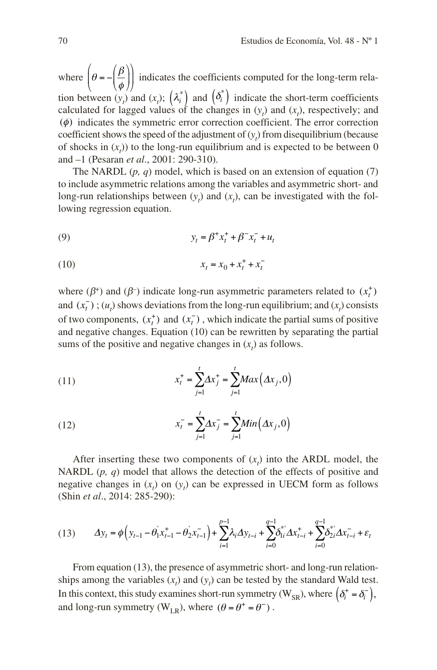where  $\left(\theta = -\left(\frac{\beta}{\phi}\right)\right)$  $\sqrt{2}$  $\left(\theta = -\left(\frac{\beta}{\phi}\right)\right)$ ⎝  $\left(\theta = -\left(\frac{\beta}{4}\right)\right)$ ⎠ ⎟ indicates the coefficients computed for the long-term relation between  $(y_t)$  and  $(x_t)$ ;  $(\lambda_i^*)$  and  $(\delta_i^*)$  indicate the short-term coefficients calculated for lagged values of the changes in  $(y_t)$  and  $(x_t)$ , respectively; and (φ) indicates the symmetric error correction coefficient. The error correction coefficient shows the speed of the adjustment of  $(y_t)$  from disequilibrium (because of shocks in  $(x<sub>t</sub>)$ ) to the long-run equilibrium and is expected to be between 0 and –1 (Pesaran *et al*., 2001: 290-310).

The NARDL (*p, q*) model, which is based on an extension of equation (7) to include asymmetric relations among the variables and asymmetric short- and long-run relationships between  $(y_t)$  and  $(x_t)$ , can be investigated with the following regression equation.

(9) 
$$
y_t = \beta^+ x_t^+ + \beta^- x_t^- + u_t
$$

$$
(10) \t\t x_t = x_0 + x_t^+ + x_t^-
$$

where ( $\beta^+$ ) and ( $\beta^-$ ) indicate long-run asymmetric parameters related to ( $x_t^+$ ) and  $(x_t^-)$ ;  $(u_t)$  shows deviations from the long-run equilibrium; and  $(x_t)$  consists of two components,  $(x_t^+)$  and  $(x_t^-)$ , which indicate the partial sums of positive and negative changes. Equation (10) can be rewritten by separating the partial sums of the positive and negative changes in  $(x_t)$  as follows.

(11) 
$$
x_t^+ = \sum_{j=1}^t \Delta x_j^+ = \sum_{j=1}^t \text{Max}(\Delta x_j, 0)
$$

(12) 
$$
x_t^- = \sum_{j=1}^t \Delta x_j^- = \sum_{j=1}^t Min(\Delta x_j, 0)
$$

After inserting these two components of  $(x<sub>t</sub>)$  into the ARDL model, the NARDL (*p, q*) model that allows the detection of the effects of positive and negative changes in  $(x_t)$  on  $(y_t)$  can be expressed in UECM form as follows (Shin *et al*., 2014: 285-290):

$$
(13) \qquad \Delta y_t = \phi \Big( y_{t-1} - \theta_1^{\prime} x_{t-1}^+ - \theta_2^{\prime} x_{t-1}^- \Big) + \sum_{i=1}^{p-1} \lambda_i \Delta y_{t-i} + \sum_{i=0}^{q-1} \delta_{1i}^{*^*} \Delta x_{t-i}^+ + \sum_{i=0}^{q-1} \delta_{2i}^{*^*} \Delta x_{t-i}^- + \varepsilon_t
$$

From equation (13), the presence of asymmetric short- and long-run relationships among the variables  $(x_t)$  and  $(y_t)$  can be tested by the standard Wald test. In this context, this study examines short-run symmetry ( $W_{SR}$ ), where  $(\delta_i^+ = \delta_i^-)$ , and long-run symmetry ( $W_{LR}$ ), where  $(\theta = \theta^+ = \theta^-)$ .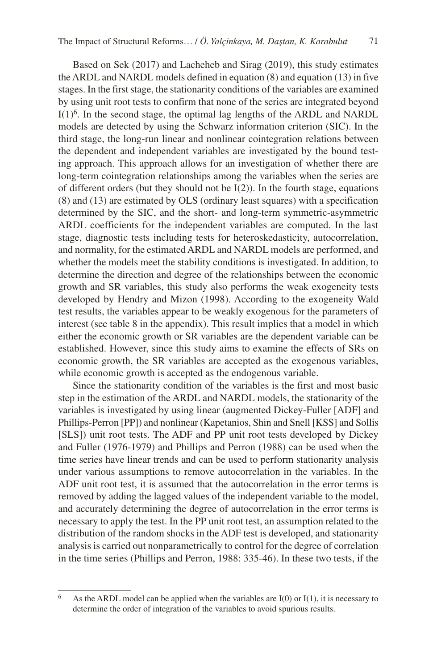Based on Sek (2017) and Lacheheb and Sirag (2019), this study estimates the ARDL and NARDL models defined in equation (8) and equation (13) in five stages. In the first stage, the stationarity conditions of the variables are examined by using unit root tests to confirm that none of the series are integrated beyond I(1)6. In the second stage, the optimal lag lengths of the ARDL and NARDL models are detected by using the Schwarz information criterion (SIC). In the third stage, the long-run linear and nonlinear cointegration relations between the dependent and independent variables are investigated by the bound testing approach. This approach allows for an investigation of whether there are long-term cointegration relationships among the variables when the series are of different orders (but they should not be  $I(2)$ ). In the fourth stage, equations (8) and (13) are estimated by OLS (ordinary least squares) with a specification determined by the SIC, and the short- and long-term symmetric-asymmetric ARDL coefficients for the independent variables are computed. In the last stage, diagnostic tests including tests for heteroskedasticity, autocorrelation, and normality, for the estimated ARDL and NARDL models are performed, and whether the models meet the stability conditions is investigated. In addition, to determine the direction and degree of the relationships between the economic growth and SR variables, this study also performs the weak exogeneity tests developed by Hendry and Mizon (1998). According to the exogeneity Wald test results, the variables appear to be weakly exogenous for the parameters of interest (see table 8 in the appendix). This result implies that a model in which either the economic growth or SR variables are the dependent variable can be established. However, since this study aims to examine the effects of SRs on economic growth, the SR variables are accepted as the exogenous variables, while economic growth is accepted as the endogenous variable.

Since the stationarity condition of the variables is the first and most basic step in the estimation of the ARDL and NARDL models, the stationarity of the variables is investigated by using linear (augmented Dickey-Fuller [ADF] and Phillips-Perron [PP]) and nonlinear (Kapetanios, Shin and Snell [KSS] and Sollis [SLS]) unit root tests. The ADF and PP unit root tests developed by Dickey and Fuller (1976-1979) and Phillips and Perron (1988) can be used when the time series have linear trends and can be used to perform stationarity analysis under various assumptions to remove autocorrelation in the variables. In the ADF unit root test, it is assumed that the autocorrelation in the error terms is removed by adding the lagged values of the independent variable to the model, and accurately determining the degree of autocorrelation in the error terms is necessary to apply the test. In the PP unit root test, an assumption related to the distribution of the random shocks in the ADF test is developed, and stationarity analysis is carried out nonparametrically to control for the degree of correlation in the time series (Phillips and Perron, 1988: 335-46). In these two tests, if the

<sup>&</sup>lt;sup>6</sup> As the ARDL model can be applied when the variables are  $I(0)$  or  $I(1)$ , it is necessary to determine the order of integration of the variables to avoid spurious results.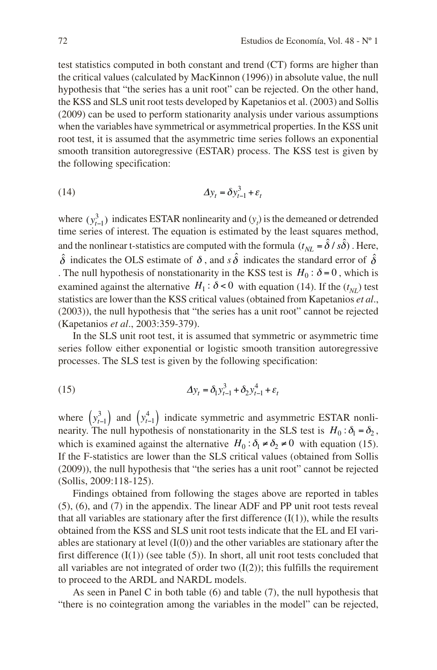test statistics computed in both constant and trend (CT) forms are higher than the critical values (calculated by MacKinnon (1996)) in absolute value, the null hypothesis that "the series has a unit root" can be rejected. On the other hand, the KSS and SLS unit root tests developed by Kapetanios et al. (2003) and Sollis (2009) can be used to perform stationarity analysis under various assumptions when the variables have symmetrical or asymmetrical properties. In the KSS unit root test, it is assumed that the asymmetric time series follows an exponential smooth transition autoregressive (ESTAR) process. The KSS test is given by the following specification:

$$
\Delta y_t = \delta y_{t-1}^3 + \varepsilon_t
$$

where  $(y_{t-1}^3)$  indicates ESTAR nonlinearity and  $(y_t)$  is the demeaned or detrended time series of interest. The equation is estimated by the least squares method, and the nonlinear t-statistics are computed with the formula  $(t_{NL} = \hat{\delta}/s\hat{\delta})$ . Here,  $\hat{\delta}$  indicates the OLS estimate of  $\delta$ , and  $s\hat{\delta}$  indicates the standard error of  $\hat{\delta}$ . The null hypothesis of nonstationarity in the KSS test is  $H_0$ :  $\delta = 0$ , which is examined against the alternative  $H_1$ :  $\delta$  < 0 with equation (14). If the ( $t_{NL}$ ) test statistics are lower than the KSS critical values (obtained from Kapetanios *et al*., (2003)), the null hypothesis that "the series has a unit root" cannot be rejected (Kapetanios *et al*., 2003:359-379).

In the SLS unit root test, it is assumed that symmetric or asymmetric time series follow either exponential or logistic smooth transition autoregressive processes. The SLS test is given by the following specification:

(15) 
$$
\Delta y_t = \delta_1 y_{t-1}^3 + \delta_2 y_{t-1}^4 + \varepsilon_t
$$

where  $\left(y_{t-1}^3\right)$  and  $\left(y_{t-1}^4\right)$  indicate symmetric and asymmetric ESTAR nonlinearity. The null hypothesis of nonstationarity in the SLS test is  $H_0: \delta_1 = \delta_2$ , which is examined against the alternative  $H_0: \delta_1 \neq \delta_2 \neq 0$  with equation (15). If the F-statistics are lower than the SLS critical values (obtained from Sollis (2009)), the null hypothesis that "the series has a unit root" cannot be rejected (Sollis, 2009:118-125).

Findings obtained from following the stages above are reported in tables (5), (6), and (7) in the appendix. The linear ADF and PP unit root tests reveal that all variables are stationary after the first difference  $(I(1))$ , while the results obtained from the KSS and SLS unit root tests indicate that the EL and EI variables are stationary at level  $(I(0))$  and the other variables are stationary after the first difference  $(I(1))$  (see table  $(5)$ ). In short, all unit root tests concluded that all variables are not integrated of order two  $(I(2))$ ; this fulfills the requirement to proceed to the ARDL and NARDL models.

As seen in Panel C in both table (6) and table (7), the null hypothesis that "there is no cointegration among the variables in the model" can be rejected,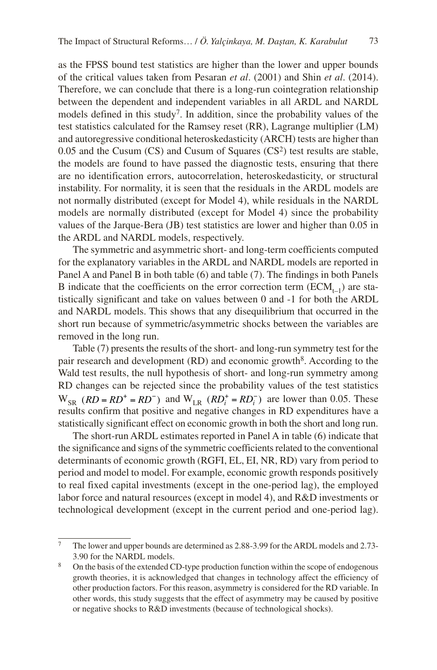as the FPSS bound test statistics are higher than the lower and upper bounds of the critical values taken from Pesaran *et al*. (2001) and Shin *et al*. (2014). Therefore, we can conclude that there is a long-run cointegration relationship between the dependent and independent variables in all ARDL and NARDL models defined in this study<sup>7</sup>. In addition, since the probability values of the test statistics calculated for the Ramsey reset (RR), Lagrange multiplier (LM) and autoregressive conditional heteroskedasticity (ARCH) tests are higher than  $0.05$  and the Cusum (CS) and Cusum of Squares (CS<sup>2</sup>) test results are stable, the models are found to have passed the diagnostic tests, ensuring that there are no identification errors, autocorrelation, heteroskedasticity, or structural instability. For normality, it is seen that the residuals in the ARDL models are not normally distributed (except for Model 4), while residuals in the NARDL models are normally distributed (except for Model 4) since the probability values of the Jarque-Bera (JB) test statistics are lower and higher than 0.05 in the ARDL and NARDL models, respectively.

The symmetric and asymmetric short- and long-term coefficients computed for the explanatory variables in the ARDL and NARDL models are reported in Panel A and Panel B in both table (6) and table (7). The findings in both Panels B indicate that the coefficients on the error correction term  $(\text{ECM}_{t-1})$  are statistically significant and take on values between 0 and -1 for both the ARDL and NARDL models. This shows that any disequilibrium that occurred in the short run because of symmetric/asymmetric shocks between the variables are removed in the long run.

Table (7) presents the results of the short- and long-run symmetry test for the pair research and development  $(RD)$  and economic growth<sup>8</sup>. According to the Wald test results, the null hypothesis of short- and long-run symmetry among RD changes can be rejected since the probability values of the test statistics  $W_{SR}$  ( $RD = RD^+ = RD^-$ ) and  $W_{LR}$  ( $RD_i^+ = RD_i^-$ ) are lower than 0.05. These results confirm that positive and negative changes in RD expenditures have a statistically significant effect on economic growth in both the short and long run.

The short-run ARDL estimates reported in Panel A in table (6) indicate that the significance and signs of the symmetric coefficients related to the conventional determinants of economic growth (RGFI, EL, EI, NR, RD) vary from period to period and model to model. For example, economic growth responds positively to real fixed capital investments (except in the one-period lag), the employed labor force and natural resources (except in model 4), and R&D investments or technological development (except in the current period and one-period lag).

<sup>7</sup> The lower and upper bounds are determined as 2.88-3.99 for the ARDL models and 2.73- 3.90 for the NARDL models.

<sup>&</sup>lt;sup>8</sup> On the basis of the extended CD-type production function within the scope of endogenous growth theories, it is acknowledged that changes in technology affect the efficiency of other production factors. For this reason, asymmetry is considered for the RD variable. In other words, this study suggests that the effect of asymmetry may be caused by positive or negative shocks to R&D investments (because of technological shocks).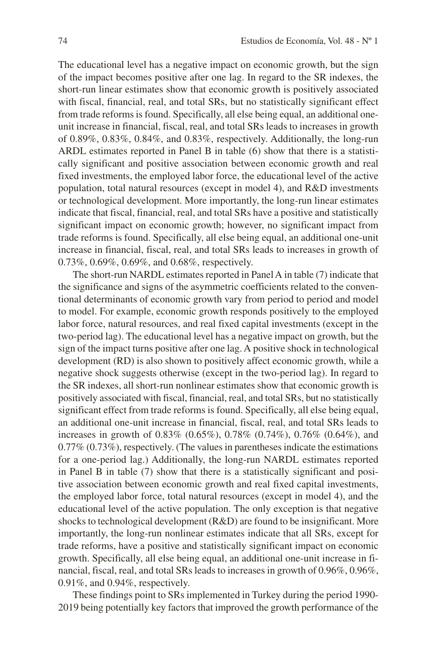The educational level has a negative impact on economic growth, but the sign of the impact becomes positive after one lag. In regard to the SR indexes, the short-run linear estimates show that economic growth is positively associated with fiscal, financial, real, and total SRs, but no statistically significant effect from trade reforms is found. Specifically, all else being equal, an additional oneunit increase in financial, fiscal, real, and total SRs leads to increases in growth of 0.89%, 0.83%, 0.84%, and 0.83%, respectively. Additionally, the long-run ARDL estimates reported in Panel B in table (6) show that there is a statistically significant and positive association between economic growth and real fixed investments, the employed labor force, the educational level of the active population, total natural resources (except in model 4), and R&D investments or technological development. More importantly, the long-run linear estimates indicate that fiscal, financial, real, and total SRs have a positive and statistically significant impact on economic growth; however, no significant impact from trade reforms is found. Specifically, all else being equal, an additional one-unit increase in financial, fiscal, real, and total SRs leads to increases in growth of 0.73%, 0.69%, 0.69%, and 0.68%, respectively.

The short-run NARDL estimates reported in Panel A in table (7) indicate that the significance and signs of the asymmetric coefficients related to the conventional determinants of economic growth vary from period to period and model to model. For example, economic growth responds positively to the employed labor force, natural resources, and real fixed capital investments (except in the two-period lag). The educational level has a negative impact on growth, but the sign of the impact turns positive after one lag. A positive shock in technological development (RD) is also shown to positively affect economic growth, while a negative shock suggests otherwise (except in the two-period lag). In regard to the SR indexes, all short-run nonlinear estimates show that economic growth is positively associated with fiscal, financial, real, and total SRs, but no statistically significant effect from trade reforms is found. Specifically, all else being equal, an additional one-unit increase in financial, fiscal, real, and total SRs leads to increases in growth of 0.83% (0.65%), 0.78% (0.74%), 0.76% (0.64%), and 0.77% (0.73%), respectively. (The values in parentheses indicate the estimations for a one-period lag.) Additionally, the long-run NARDL estimates reported in Panel B in table (7) show that there is a statistically significant and positive association between economic growth and real fixed capital investments, the employed labor force, total natural resources (except in model 4), and the educational level of the active population. The only exception is that negative shocks to technological development (R&D) are found to be insignificant. More importantly, the long-run nonlinear estimates indicate that all SRs, except for trade reforms, have a positive and statistically significant impact on economic growth. Specifically, all else being equal, an additional one-unit increase in financial, fiscal, real, and total SRs leads to increases in growth of 0.96%, 0.96%, 0.91%, and 0.94%, respectively.

These findings point to SRs implemented in Turkey during the period 1990- 2019 being potentially key factors that improved the growth performance of the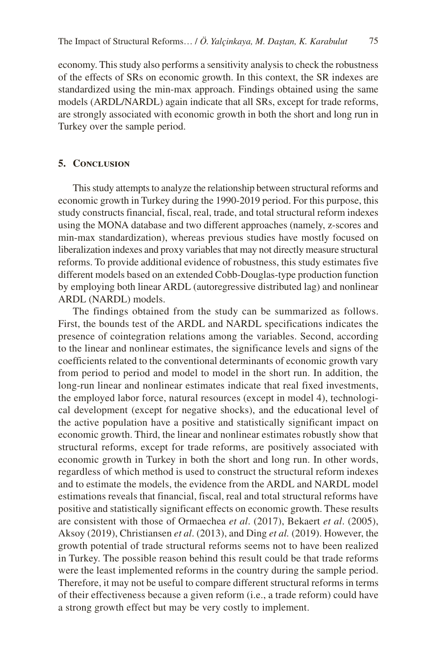economy. This study also performs a sensitivity analysis to check the robustness of the effects of SRs on economic growth. In this context, the SR indexes are standardized using the min-max approach. Findings obtained using the same models (ARDL/NARDL) again indicate that all SRs, except for trade reforms, are strongly associated with economic growth in both the short and long run in Turkey over the sample period.

#### **5. Conclusion**

This study attempts to analyze the relationship between structural reforms and economic growth in Turkey during the 1990-2019 period. For this purpose, this study constructs financial, fiscal, real, trade, and total structural reform indexes using the MONA database and two different approaches (namely, z-scores and min-max standardization), whereas previous studies have mostly focused on liberalization indexes and proxy variables that may not directly measure structural reforms. To provide additional evidence of robustness, this study estimates five different models based on an extended Cobb-Douglas-type production function by employing both linear ARDL (autoregressive distributed lag) and nonlinear ARDL (NARDL) models.

The findings obtained from the study can be summarized as follows. First, the bounds test of the ARDL and NARDL specifications indicates the presence of cointegration relations among the variables. Second, according to the linear and nonlinear estimates, the significance levels and signs of the coefficients related to the conventional determinants of economic growth vary from period to period and model to model in the short run. In addition, the long-run linear and nonlinear estimates indicate that real fixed investments, the employed labor force, natural resources (except in model 4), technological development (except for negative shocks), and the educational level of the active population have a positive and statistically significant impact on economic growth. Third, the linear and nonlinear estimates robustly show that structural reforms, except for trade reforms, are positively associated with economic growth in Turkey in both the short and long run. In other words, regardless of which method is used to construct the structural reform indexes and to estimate the models, the evidence from the ARDL and NARDL model estimations reveals that financial, fiscal, real and total structural reforms have positive and statistically significant effects on economic growth. These results are consistent with those of Ormaechea *et al*. (2017), Bekaert *et al*. (2005), Aksoy (2019), Christiansen *et al*. (2013), and Ding *et al.* (2019). However, the growth potential of trade structural reforms seems not to have been realized in Turkey. The possible reason behind this result could be that trade reforms were the least implemented reforms in the country during the sample period. Therefore, it may not be useful to compare different structural reforms in terms of their effectiveness because a given reform (i.e., a trade reform) could have a strong growth effect but may be very costly to implement.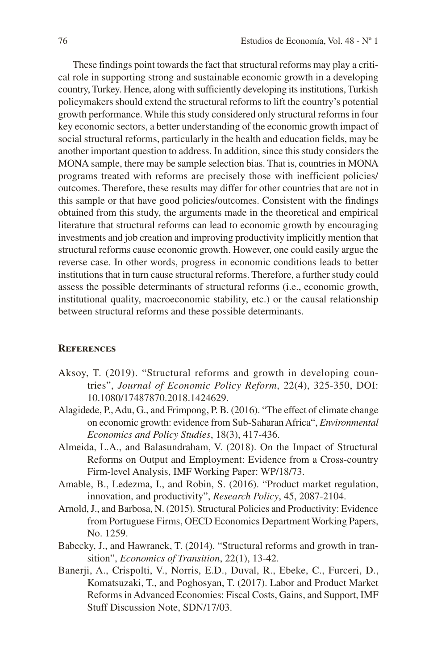These findings point towards the fact that structural reforms may play a critical role in supporting strong and sustainable economic growth in a developing country, Turkey. Hence, along with sufficiently developing its institutions, Turkish policymakers should extend the structural reforms to lift the country's potential growth performance. While this study considered only structural reforms in four key economic sectors, a better understanding of the economic growth impact of social structural reforms, particularly in the health and education fields, may be another important question to address. In addition, since this study considers the MONA sample, there may be sample selection bias. That is, countries in MONA programs treated with reforms are precisely those with inefficient policies/ outcomes. Therefore, these results may differ for other countries that are not in this sample or that have good policies/outcomes. Consistent with the findings obtained from this study, the arguments made in the theoretical and empirical literature that structural reforms can lead to economic growth by encouraging investments and job creation and improving productivity implicitly mention that structural reforms cause economic growth. However, one could easily argue the reverse case. In other words, progress in economic conditions leads to better institutions that in turn cause structural reforms. Therefore, a further study could assess the possible determinants of structural reforms (i.e., economic growth, institutional quality, macroeconomic stability, etc.) or the causal relationship between structural reforms and these possible determinants.

#### **References**

- Aksoy, T. (2019). "Structural reforms and growth in developing countries", *Journal of Economic Policy Reform*, 22(4), 325-350, DOI: 10.1080/17487870.2018.1424629.
- Alagidede, P., Adu, G., and Frimpong, P. B. (2016). "The effect of climate change on economic growth: evidence from Sub-Saharan Africa", *Environmental Economics and Policy Studies*, 18(3), 417-436.
- Almeida, L.A., and Balasundraham, V. (2018). On the Impact of Structural Reforms on Output and Employment: Evidence from a Cross-country Firm-level Analysis, IMF Working Paper: WP/18/73.
- Amable, B., Ledezma, I., and Robin, S. (2016). "Product market regulation, innovation, and productivity", *Research Policy*, 45, 2087-2104.
- Arnold, J., and Barbosa, N. (2015). Structural Policies and Productivity: Evidence from Portuguese Firms, OECD Economics Department Working Papers, No. 1259.
- Babecky, J., and Hawranek, T. (2014). "Structural reforms and growth in transition", *Economics of Transition*, 22(1), 13-42.
- Banerji, A., Crispolti, V., Norris, E.D., Duval, R., Ebeke, C., Furceri, D., Komatsuzaki, T., and Poghosyan, T. (2017). Labor and Product Market Reforms in Advanced Economies: Fiscal Costs, Gains, and Support, IMF Stuff Discussion Note, SDN/17/03.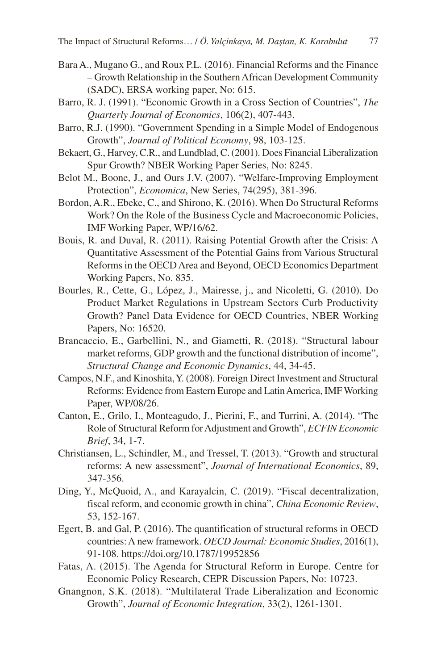- Bara A., Mugano G., and Roux P.L. (2016). Financial Reforms and the Finance – Growth Relationship in the Southern African Development Community (SADC), ERSA working paper, No: 615.
- Barro, R. J. (1991). "Economic Growth in a Cross Section of Countries", *The Quarterly Journal of Economics*, 106(2), 407-443.
- Barro, R.J. (1990). "Government Spending in a Simple Model of Endogenous Growth", *Journal of Political Economy*, 98, 103-125.
- Bekaert, G., Harvey, C.R., and Lundblad, C. (2001). Does Financial Liberalization Spur Growth? NBER Working Paper Series, No: 8245.
- Belot M., Boone, J., and Ours J.V. (2007). "Welfare-Improving Employment Protection", *Economica*, New Series, 74(295), 381-396.
- Bordon, A.R., Ebeke, C., and Shirono, K. (2016). When Do Structural Reforms Work? On the Role of the Business Cycle and Macroeconomic Policies, IMF Working Paper, WP/16/62.
- Bouis, R. and Duval, R. (2011). Raising Potential Growth after the Crisis: A Quantitative Assessment of the Potential Gains from Various Structural Reforms in the OECD Area and Beyond, OECD Economics Department Working Papers, No. 835.
- Bourles, R., Cette, G., López, J., Mairesse, j., and Nicoletti, G. (2010). Do Product Market Regulations in Upstream Sectors Curb Productivity Growth? Panel Data Evidence for OECD Countries, NBER Working Papers, No: 16520.
- Brancaccio, E., Garbellini, N., and Giametti, R. (2018). "Structural labour market reforms, GDP growth and the functional distribution of income", *Structural Change and Economic Dynamics*, 44, 34-45.
- Campos, N.F., and Kinoshita, Y. (2008). Foreign Direct Investment and Structural Reforms: Evidence from Eastern Europe and Latin America, IMF Working Paper, WP/08/26.
- Canton, E., Grilo, I., Monteagudo, J., Pierini, F., and Turrini, A. (2014). "The Role of Structural Reform for Adjustment and Growth", *ECFIN Economic Brief*, 34, 1-7.
- Christiansen, L., Schindler, M., and Tressel, T. (2013). "Growth and structural reforms: A new assessment", *Journal of International Economics*, 89, 347-356.
- Ding, Y., McQuoid, A., and Karayalcin, C. (2019). "Fiscal decentralization, fiscal reform, and economic growth in china", *China Economic Review*, 53, 152-167.
- Egert, B. and Gal, P. (2016). The quantification of structural reforms in OECD countries: A new framework. *OECD Journal: Economic Studies*, 2016(1), 91-108. https://doi.org/10.1787/19952856
- Fatas, A. (2015). The Agenda for Structural Reform in Europe. Centre for Economic Policy Research, CEPR Discussion Papers, No: 10723.
- Gnangnon, S.K. (2018). "Multilateral Trade Liberalization and Economic Growth", *Journal of Economic Integration*, 33(2), 1261-1301.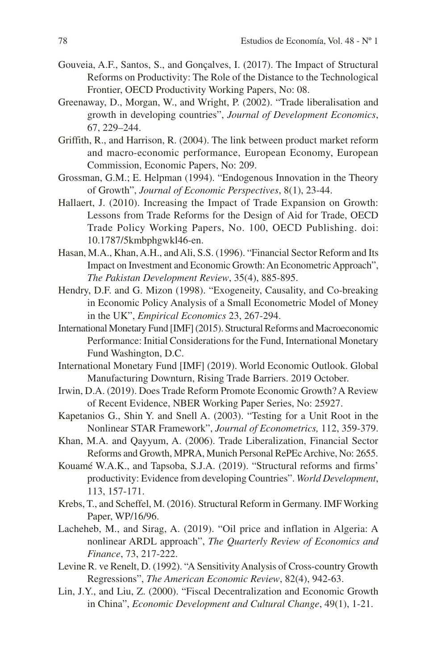- Gouveia, A.F., Santos, S., and Gonçalves, I. (2017). The Impact of Structural Reforms on Productivity: The Role of the Distance to the Technological Frontier, OECD Productivity Working Papers, No: 08.
- Greenaway, D., Morgan, W., and Wright, P. (2002). "Trade liberalisation and growth in developing countries", *Journal of Development Economics*, 67, 229–244.
- Griffith, R., and Harrison, R. (2004). The link between product market reform and macro-economic performance, European Economy, European Commission, Economic Papers, No: 209.
- Grossman, G.M.; E. Helpman (1994). "Endogenous Innovation in the Theory of Growth", *Journal of Economic Perspectives*, 8(1), 23-44.
- Hallaert, J. (2010). Increasing the Impact of Trade Expansion on Growth: Lessons from Trade Reforms for the Design of Aid for Trade, OECD Trade Policy Working Papers, No. 100, OECD Publishing. doi: 10.1787/5kmbphgwkl46-en.
- Hasan, M.A., Khan, A.H., and Ali, S.S. (1996). "Financial Sector Reform and Its Impact on Investment and Economic Growth: An Econometric Approach", *The Pakistan Development Review*, 35(4), 885-895.
- Hendry, D.F. and G. Mizon (1998). "Exogeneity, Causality, and Co-breaking in Economic Policy Analysis of a Small Econometric Model of Money in the UK", *Empirical Economics* 23, 267-294.
- International Monetary Fund [IMF] (2015). Structural Reforms and Macroeconomic Performance: Initial Considerations for the Fund, International Monetary Fund Washington, D.C.
- International Monetary Fund [IMF] (2019). World Economic Outlook. Global Manufacturing Downturn, Rising Trade Barriers. 2019 October.
- Irwin, D.A. (2019). Does Trade Reform Promote Economic Growth? A Review of Recent Evidence, NBER Working Paper Series, No: 25927.
- Kapetanios G., Shin Y. and Snell A. (2003). "Testing for a Unit Root in the Nonlinear STAR Framework", *Journal of Econometrics,* 112, 359-379.
- Khan, M.A. and Qayyum, A. (2006). Trade Liberalization, Financial Sector Reforms and Growth, MPRA, Munich Personal RePEc Archive, No: 2655.
- Kouamé W.A.K., and Tapsoba, S.J.A. (2019). "Structural reforms and firms' productivity: Evidence from developing Countries". *World Development*, 113, 157-171.
- Krebs, T., and Scheffel, M. (2016). Structural Reform in Germany. IMF Working Paper, WP/16/96.
- Lacheheb, M., and Sirag, A. (2019). "Oil price and inflation in Algeria: A nonlinear ARDL approach", *The Quarterly Review of Economics and Finance*, 73, 217-222.
- Levine R. ve Renelt, D. (1992). "A Sensitivity Analysis of Cross-country Growth Regressions", *The American Economic Review*, 82(4), 942-63.
- Lin, J.Y., and Liu, Z. (2000). "Fiscal Decentralization and Economic Growth in China", *Economic Development and Cultural Change*, 49(1), 1-21.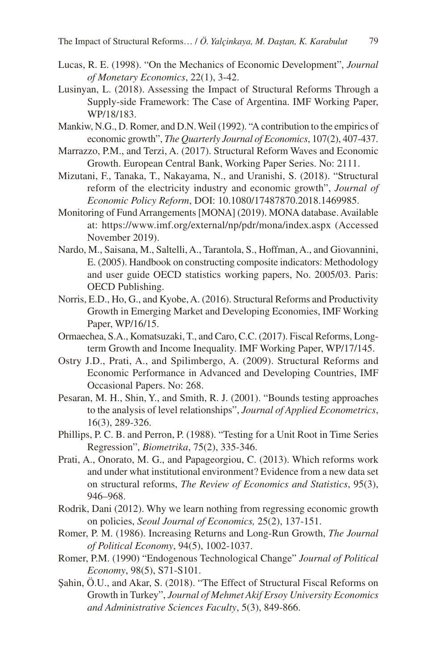- Lucas, R. E. (1998). "On the Mechanics of Economic Development", *Journal of Monetary Economics*, 22(1), 3-42.
- Lusinyan, L. (2018). Assessing the Impact of Structural Reforms Through a Supply-side Framework: The Case of Argentina. IMF Working Paper, WP/18/183.
- Mankiw, N.G., D. Romer, and D.N. Weil (1992). "A contribution to the empirics of economic growth", *The Quarterly Journal of Economics*, 107(2), 407-437.
- Marrazzo, P.M., and Terzi, A. (2017). Structural Reform Waves and Economic Growth. European Central Bank, Working Paper Series. No: 2111.
- Mizutani, F., Tanaka, T., Nakayama, N., and Uranishi, S. (2018). "Structural reform of the electricity industry and economic growth", *Journal of Economic Policy Reform*, DOI: 10.1080/17487870.2018.1469985.
- Monitoring of Fund Arrangements [MONA] (2019). MONA database. Available at: https://www.imf.org/external/np/pdr/mona/index.aspx (Accessed November 2019).
- Nardo, M., Saisana, M., Saltelli, A., Tarantola, S., Hoffman, A., and Giovannini, E. (2005). Handbook on constructing composite indicators: Methodology and user guide OECD statistics working papers, No. 2005/03. Paris: OECD Publishing.
- Norris, E.D., Ho, G., and Kyobe, A. (2016). Structural Reforms and Productivity Growth in Emerging Market and Developing Economies, IMF Working Paper, WP/16/15.
- Ormaechea, S.A., Komatsuzaki, T., and Caro, C.C. (2017). Fiscal Reforms, Longterm Growth and Income Inequality. IMF Working Paper, WP/17/145.
- Ostry J.D., Prati, A., and Spilimbergo, A. (2009). Structural Reforms and Economic Performance in Advanced and Developing Countries, IMF Occasional Papers. No: 268.
- Pesaran, M. H., Shin, Y., and Smith, R. J. (2001). "Bounds testing approaches to the analysis of level relationships", *Journal of Applied Econometrics*, 16(3), 289-326.
- Phillips, P. C. B. and Perron, P. (1988). "Testing for a Unit Root in Time Series Regression", *Biometrika*, 75(2), 335-346.
- Prati, A., Onorato, M. G., and Papageorgiou, C. (2013). Which reforms work and under what institutional environment? Evidence from a new data set on structural reforms, *The Review of Economics and Statistics*, 95(3), 946–968.
- Rodrik, Dani (2012). Why we learn nothing from regressing economic growth on policies, *Seoul Journal of Economics,* 25(2), 137-151.
- Romer, P. M. (1986). Increasing Returns and Long-Run Growth, *The Journal of Political Economy*, 94(5), 1002-1037.
- Romer, P.M. (1990) "Endogenous Technological Change" *Journal of Political Economy*, 98(5), S71-S101.
- Şahin, Ö.U., and Akar, S. (2018). "The Effect of Structural Fiscal Reforms on Growth in Turkey", *Journal of Mehmet Akif Ersoy University Economics and Administrative Sciences Faculty*, 5(3), 849-866.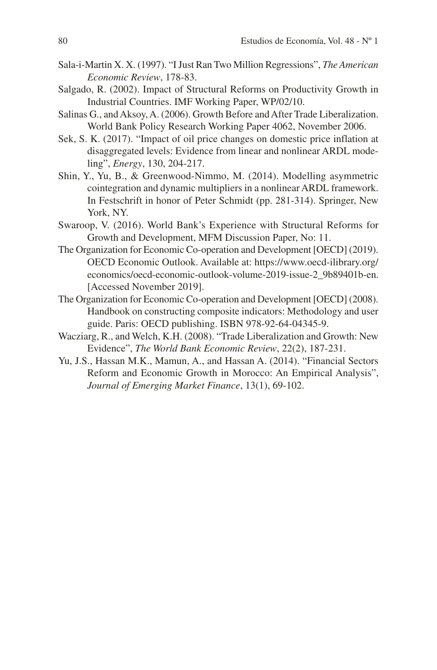- Sala-i-Martin X. X. (1997). "I Just Ran Two Million Regressions", *The American Economic Review*, 178-83.
- Salgado, R. (2002). Impact of Structural Reforms on Productivity Growth in Industrial Countries. IMF Working Paper, WP/02/10.
- Salinas G., and Aksoy, A. (2006). Growth Before and After Trade Liberalization. World Bank Policy Research Working Paper 4062, November 2006.
- Sek, S. K. (2017). "Impact of oil price changes on domestic price inflation at disaggregated levels: Evidence from linear and nonlinear ARDL modeling", *Energy*, 130, 204-217.
- Shin, Y., Yu, B., & Greenwood-Nimmo, M. (2014). Modelling asymmetric cointegration and dynamic multipliers in a nonlinear ARDL framework. In Festschrift in honor of Peter Schmidt (pp. 281-314). Springer, New York, NY.
- Swaroop, V. (2016). World Bank's Experience with Structural Reforms for Growth and Development, MFM Discussion Paper, No: 11.
- The Organization for Economic Co-operation and Development [OECD] (2019). OECD Economic Outlook. Available at: https://www.oecd-ilibrary.org/ economics/oecd-economic-outlook-volume-2019-issue-2\_9b89401b-en. [Accessed November 2019].
- The Organization for Economic Co-operation and Development [OECD] (2008). Handbook on constructing composite indicators: Methodology and user guide. Paris: OECD publishing. ISBN 978-92-64-04345-9.
- Wacziarg, R., and Welch, K.H. (2008). "Trade Liberalization and Growth: New Evidence", *The World Bank Economic Review*, 22(2), 187-231.
- Yu, J.S., Hassan M.K., Mamun, A., and Hassan A. (2014). "Financial Sectors Reform and Economic Growth in Morocco: An Empirical Analysis", *Journal of Emerging Market Finance*, 13(1), 69-102.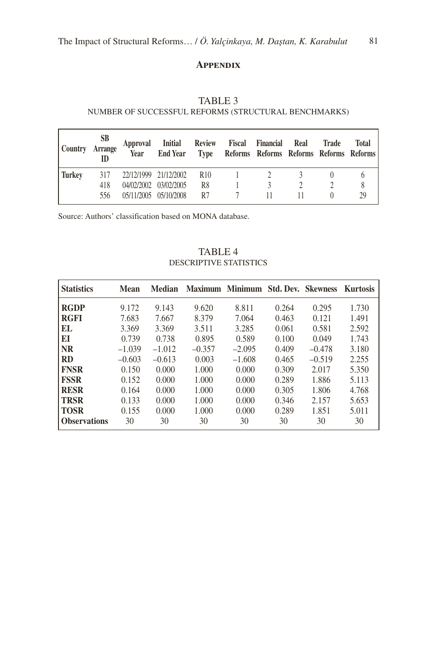#### **Appendix**

# TABLE 3

### NUMBER OF SUCCESSFUL REFORMS (STRUCTURAL BENCHMARKS)

| <b>Country</b> | <b>SB</b><br>Arrange<br>ID | <b>Year</b> | Approval Initial Review Fiscal Financial<br>End Year Type Reforms Reforms Reforms Reforms Reforms |                 |  | Real | Trade | Total |
|----------------|----------------------------|-------------|---------------------------------------------------------------------------------------------------|-----------------|--|------|-------|-------|
| Turkev         | 317                        |             | 22/12/1999 21/12/2002                                                                             | R <sub>10</sub> |  |      |       |       |
|                | 418                        |             | 04/02/2002 03/02/2005                                                                             | R <sup>8</sup>  |  |      |       |       |
|                | 556                        |             | 05/11/2005 05/10/2008                                                                             | R7              |  |      |       | 29    |

Source: Authors' classification based on MONA database.

# TABLE 4 DESCRIPTIVE STATISTICS

| <b>Statistics</b>   | Mean     | Median   |          | Maximum Minimum | <b>Std. Dev. Skewness</b> |          | <b>Kurtosis</b> |
|---------------------|----------|----------|----------|-----------------|---------------------------|----------|-----------------|
| <b>RGDP</b>         | 9.172    | 9.143    | 9.620    | 8.811           | 0.264                     | 0.295    | 1.730           |
| <b>RGFI</b>         | 7.683    | 7.667    | 8.379    | 7.064           | 0.463                     | 0.121    | 1.491           |
| EL.                 | 3.369    | 3.369    | 3.511    | 3.285           | 0.061                     | 0.581    | 2.592           |
| EI                  | 0.739    | 0.738    | 0.895    | 0.589           | 0.100                     | 0.049    | 1.743           |
| <b>NR</b>           | $-1.039$ | $-1.012$ | $-0.357$ | $-2.095$        | 0.409                     | $-0.478$ | 3.180           |
| <b>RD</b>           | $-0.603$ | $-0.613$ | 0.003    | $-1.608$        | 0.465                     | $-0.519$ | 2.255           |
| <b>FNSR</b>         | 0.150    | 0.000    | 1.000    | 0.000           | 0.309                     | 2.017    | 5.350           |
| <b>FSSR</b>         | 0.152    | 0.000    | 1.000    | 0.000           | 0.289                     | 1.886    | 5.113           |
| <b>RESR</b>         | 0.164    | 0.000    | 1.000    | 0.000           | 0.305                     | 1.806    | 4.768           |
| <b>TRSR</b>         | 0.133    | 0.000    | 1.000    | 0.000           | 0.346                     | 2.157    | 5.653           |
| TOSR                | 0.155    | 0.000    | 1.000    | 0.000           | 0.289                     | 1.851    | 5.011           |
| <b>Observations</b> | 30       | 30       | 30       | 30              | 30                        | 30       | 30              |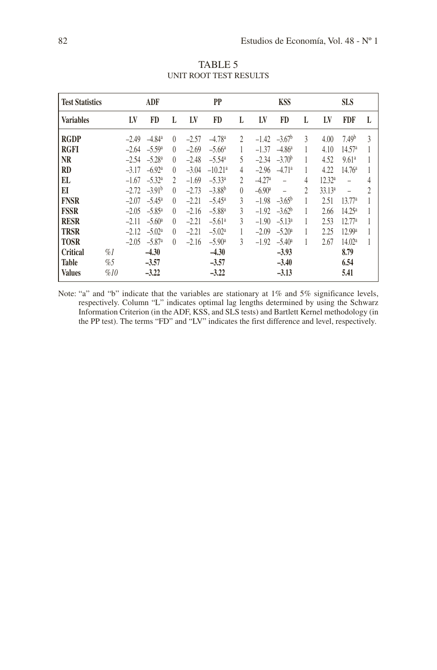| <b>Test Statistics</b> |       |         | ADF                          |                  |         | <b>PP</b>            |                |                      | <b>KSS</b>                   |   |                    | <b>SLS</b>         |   |
|------------------------|-------|---------|------------------------------|------------------|---------|----------------------|----------------|----------------------|------------------------------|---|--------------------|--------------------|---|
| <b>Variables</b>       |       | LV      | <b>FD</b>                    | L                | LV      | <b>FD</b>            | L              | LV                   | <b>FD</b>                    | L | LV                 | <b>FDF</b>         | L |
| <b>RGDP</b>            |       |         | $-2.49$ $-4.84$ <sup>a</sup> | $\left( \right)$ | $-2.57$ | $-4.78a$             | $\mathfrak{D}$ |                      | $-1.42 -3.67$                | 3 | 4.00               | 7.49 <sup>b</sup>  | 3 |
| <b>RGFI</b>            |       |         | $-2.64 - 5.59^{\circ}$       | $\left( \right)$ | $-2.69$ | $-5.66^{\circ}$      |                | $-1.37$              | $-4.86^{\circ}$              |   | 4.10               | 14.57 <sup>a</sup> |   |
| <b>NR</b>              |       |         | $-2.54 -5.28$ <sup>a</sup>   | $\left( \right)$ | $-2.48$ | $-5.54a$             | 5.             |                      | $-2.34 -3.70^{\circ}$        | 1 | 4.52               | 9.61a              | 1 |
| RD                     |       | $-3.17$ | $-6.92a$                     | $\left( \right)$ | $-3.04$ | $-10.21a$            | 4              |                      | $-2.96$ $-4.71$ <sup>a</sup> |   | 4.22               | 14.76 <sup>a</sup> | 1 |
| EL                     |       | $-1.67$ | $-5.32^{\circ}$              | $\mathfrak{D}$   | $-1.69$ | $-5.33a$             | 2              | $-4.27a$             |                              | 4 | 12.32 <sup>a</sup> | $\qquad \qquad -$  | 4 |
| EI                     |       |         | $-2.72$ $-3.91$ <sup>b</sup> | $\left( \right)$ | $-2.73$ | $-3.88b$             | $\theta$       | $-6.90$ <sup>a</sup> |                              | 2 | 33.13a             | $\qquad \qquad -$  | 2 |
| <b>FNSR</b>            |       | $-2.07$ | $-5.45^{\circ}$              | $\left( \right)$ | $-2.21$ | $-5.45^{\circ}$      | 3              | $-1.98$              | $-3.65^{\rm b}$              |   | 2.51               | 13.77a             | 1 |
| <b>FSSR</b>            |       |         | $-2.05 -5.85$ <sup>a</sup>   | $\left( \right)$ | $-2.16$ | $-5.88^{a}$          | 3              |                      | $-1.92 -3.62^b$              |   | 2.66               | 14.25 <sup>a</sup> | 1 |
| <b>RESR</b>            |       | $-2.11$ | $-5.60a$                     | $\left( \right)$ | $-2.21$ | $-5.61a$             | 3              | $-1.90$              | $-5.13^a$                    |   | 2.53               | 12.77a             | 1 |
| <b>TRSR</b>            |       | $-2.12$ | $-5.02a$                     | $\left( \right)$ | $-2.21$ | $-5.02a$             | 1              | $-2.09$              | $-5.20a$                     |   | 2.25               | 12.99 <sup>a</sup> | 1 |
| <b>TOSR</b>            |       |         | $-2.05 -5.87$ <sup>a</sup>   | $\left( \right)$ | $-2.16$ | $-5.90$ <sup>a</sup> | $\mathcal{E}$  | $-1.92$              | $-5.40^{\circ}$              |   | 2.67               | 14.02 <sup>a</sup> |   |
| Critical               | $\%l$ |         | $-4.30$                      |                  |         | $-4.30$              |                |                      | $-3.93$                      |   |                    | 8.79               |   |
| <b>Table</b>           | %5    |         | $-3.57$                      |                  |         | $-3.57$              |                |                      | $-3.40$                      |   |                    | 6.54               |   |
| <b>Values</b>          | %10   |         | $-3.22$                      |                  |         | $-3.22$              |                |                      | $-3.13$                      |   |                    | 5.41               |   |

TABLE 5 UNIT ROOT TEST RESULTS

Note: "a" and "b" indicate that the variables are stationary at 1% and 5% significance levels, respectively. Column "L" indicates optimal lag lengths determined by using the Schwarz Information Criterion (in the ADF, KSS, and SLS tests) and Bartlett Kernel methodology (in the PP test). The terms "FD" and "LV" indicates the first difference and level, respectively.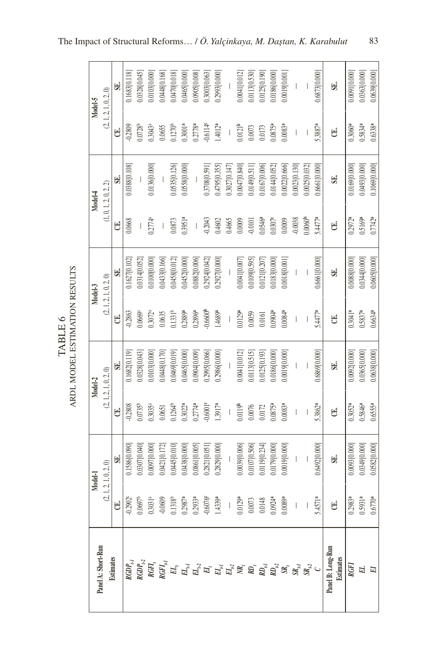ARDL MODEL ESTIMATION RESULTS ARDL MODEL ESTIMATION RESULTS TABLE 6 TABLE 6

0.0639[0.000] 0.1683[0.118] 0.0328[0.045] 0.010310.000 0.0448[0.168] 0.0470[0.018] 0.0465[0.000] 0.0905[0.008] 0.3003[0.063] 0.2993[0.000] 0.0041[0.012] 0.0113[0.530] 0.0125[0.190] 0.0186[0.000] 0.0019[0.001] 0.6873[0.000] 0.0091[0.000] 0.0363[0.000]  $\overline{\phantom{a}}$ **SE. SE.**  $\overline{\phantom{a}}$  $\mathsf{L}$  $(2, 1, 2, 1, 0, 2, 0)$  $(2, 1, 2, 1, 0, 2, 0)$ **Model-5** -0.2809 0.0728b 0.3043a 0.1270<sup>b</sup> 0.3001**a** 0.2778**a** -0.6114**c** 1.4012**a** 0.0121**b** 0.0173 0.0875**a** 0.0083**a** 5.3887**a** 0.3060**a** 0.5834**a** 0.6338**a** 0.0655 0.0073 **CE.**  $\overline{\phantom{a}}$  $\overline{\phantom{a}}$ **CE.**  $\overline{\phantom{a}}$ 0.0023[0.130] 0.6661[0.000] 0.0493[0.000] 0.1069[0.000] 0.0388[0.108] 0.0136[0.000] 0.0535[0.126] 0.0558[0.000] 0.3708[0.591] 1.4795[0.355] 0.3027[0.147] 0.0047[0.840] 0.0149[0.511] 0.0167[0.006] 0.0144[0.052] 0.0022[0.666] 0.0025[0.032] 0.0169[0.000] **SE. SE.**  $\mathsf{L}$  $\mathsf{L}$  $\mathsf{L}$  $(1, 0, 1, 2, 0, 2, 2)$  $(1, 0, 1, 2, 0, 2, 2)$ **Model-4** 0.2774a -0.2043 0.4602 0.0009 -0.0101 0.0546**a** 0.0307**c** -0.0038 5.4477**a** 0.2972**a** 0.5169**a** 0.7742**a** 0.3951**a** 0.0009 0.0060**b** 0.0668 0.0873 0.4665 **CE. CE.**  $\overline{\phantom{a}}$  $\overline{\phantom{a}}$  $\overline{\phantom{a}}$ 0.1627[0.102] 0.0314[0.052] 0.0100[0.000] 0.0433[0.166] 0.0458[0.012] 0.0452[0.000] 0.0882[0.006] 0.2924[0.042] 0.2927[0.000] 0.0041[0.007] 0.0109[0.595] 0.0121[0.207] 0.0183[0.000] 0.0018[0.001] 0.6661[0.000] 0.0088[0.000] 0.0344[0.000] 0.0605[0.000]  $\overline{\phantom{a}}$  $\overline{\phantom{a}}$ **SE. SE.**  $\overline{\phantom{a}}$  $(2, 1, 2, 1, 0, 2, 0)$  $(2, 1, 2, 1, 0, 2, 0)$ **Model-3** 0.2896**a** -0.6600**b** 1.4689**a** 0.0129**a** 0.0059 0.0904**a** 0.0084**a** 5.4477**a** 0.3041**a** 0.5837**a** 0.6634**a** -0.2863 0.0669c 0.3072a 0.1331b 0.2889**a** 0.0635 **CE.** 0.0161 **CE.**  $\overline{\phantom{a}}$  $\overline{\phantom{a}}$  $\overline{\phantom{a}}$ 0.1682[0.119] 0.0328[0.043] 0.0103[0.000] 0.0448[0.170] 0.0469[0.019] 0.0041[0.012] 0.0113[0.515] 0.0125[0.193] 0.0365[0.000] 0.0638[0.000] 0.0465[0.000] 0.0904[0.009] 0.2995[0.066] 0.2986[0.000] 0.0186[0.000] 0.0019[0.000] 0.6869[0.000] 0.0092[0.000]  $\overline{\phantom{a}}$ **SE. SE.**  $\overline{\phantom{a}}$  $\mathsf{L}$  $(2, 1, 2, 1, 0, 2, 0)$  $(2, 1, 2, 1, 0, 2, 0)$ **Model-2** 0.0119**b** 5.3862**a** 0.6555**a** 0.0735b 0.3035a 0.3022**a** 0.2774**a** -0.6001**c** 1.3917**a** 0.0076 0.0875**a** 0.0083**a** 0.3052**a** 0.5846**a** -0.2808 0.1264<sup>b</sup> 0.0172 0.0651 **CE. CE.**  $\overline{\phantom{a}}$  $\overline{\phantom{a}}$  $\overline{\phantom{a}}$ 0.0349[0.000] 0.0582[0.000] 0.0307[0.040] 0.0097[0.000] 0.0421[0.172] 0.0445[0.010] 0.0039[0.006] 0.0107[0.506] 0.0119[0.234] 0.0179[0.000] 0.6492[0.000] 0.0093[0.000] 0.1586[0.090] 0.0438[0.000] 0.0861[0.005] 0.2821[0.051] 0.2829[0.000] 0.0019[0.000] **SE.**  $\overline{\phantom{a}}$  $\overline{\phantom{a}}$ **SE.**  $\mathsf{L}$  $(2, 1, 2, 1, 0, 2, 0)$  $(2, 1, 2, 1, 0, 2, 0)$ **Model-1** -0.6076**c** 0.0129**a** 5.4571**a** 0.5931**a** -0.2902c 0.0697b 0.3031a -0.0609 0.1318b 0.2987**a** 0.2933**a** 1.4339**a** 0.0073 0.0148 0.0924**a** 0.0089**a** 0.2983**a** 0.6770**a CE.**  $\overline{\phantom{a}}$  $\overline{\phantom{a}}$ **CE.**  $\overline{\phantom{a}}$ Panel A: Short-Run Panel B: Long-Run **Panel A: Short-Run Panel B: Long-Run Estimates Estimates**  $RGDP_{t-1}$  $RGDP_{t^2}$  $RGH<sub>t</sub>$ *RGFIt-1 ELt ELt-1 ELt-2 EIt EIt-1 EIt-2 NRt RDt RDt-1 RDt-2 SRt SRt-1 SRt-2 RGFI EL EIC*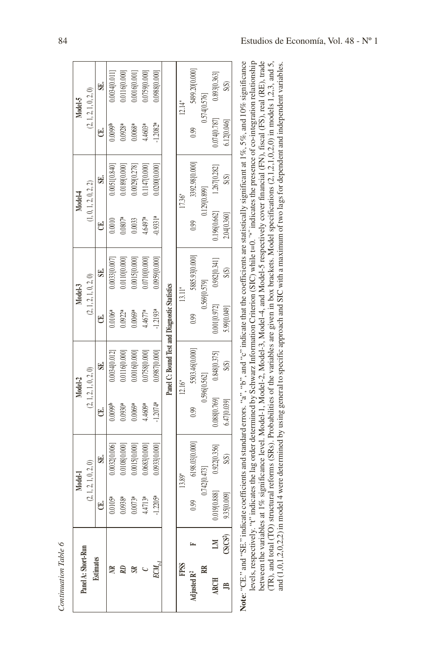|                         |                          |                     | Model-I                                                                                                                                                                         |                        | Model-2                                       |                        | Model-3               |                     | Model-4               |                     | Model-5               |
|-------------------------|--------------------------|---------------------|---------------------------------------------------------------------------------------------------------------------------------------------------------------------------------|------------------------|-----------------------------------------------|------------------------|-----------------------|---------------------|-----------------------|---------------------|-----------------------|
| Panel A: Short-Run      |                          |                     | (2, 1, 2, 1, 0, 2, 0)                                                                                                                                                           |                        | (2, 1, 2, 1, 0, 2, 0)                         |                        | (2, 1, 2, 1, 0, 2, 0) |                     | (1, 0, 1, 2, 0, 2, 2) |                     | (2, 1, 2, 1, 0, 2, 0) |
| Estimates               |                          | U                   | S.                                                                                                                                                                              | U                      | SE.                                           | U                      | SE.                   | U                   | SE.                   | U.                  | SE.                   |
|                         |                          | $0.0105^{a}$        | 0.0032[0.006]                                                                                                                                                                   | 0.0099 <sup>b</sup>    | 0.0034[0.012]                                 | 0.0106 <sup>a</sup>    | 0.0033[0.007]         | 0.0010              | $0.0051$ [0.840]      | 0.0099              | 0.0034[0.011]         |
|                         |                          | 0.0938 <sup>a</sup> | 0.0108[0.000]                                                                                                                                                                   | 0.0930a                | 0.0116[0.000]                                 | 0.0922a                | 0.0110[0.000]         | 0.0807 <sup>a</sup> | 0.0189 [0.000]        | 0.0928 <sup>a</sup> | 0.0116 [0.000]        |
|                         |                          | 0.0073 <sup>a</sup> | 0.0015[0.000]                                                                                                                                                                   | 0.0069 <sup>a</sup>    | 0.0016[0.000]                                 | 0.0069 <sup>a</sup>    | 0.0015[0.000]         | 0.0033              | 0.0029[0.278]         | 0.0068 <sup>a</sup> | 0.0016[0.001]         |
|                         |                          | 4.4713a             | 0.0683[0.000]                                                                                                                                                                   | 4.4609ª                | 0.075810.0001                                 | 4.4677a                | 0.0710[0.000]         | 4.6497 <sup>a</sup> | 0.1147[0.000]         | 4.4603 <sup>a</sup> | 0.0759 [0.000]        |
|                         |                          | $-1.2205^{a}$       | 0.0933[0.000]                                                                                                                                                                   | $-1.2074$ <sup>a</sup> | 0.0987 [0.000]                                | $-1.2193$ <sup>a</sup> | 0.095910.0001         | $-0.9331a$          | 0.0200[0.000]         | $-1.2082a$          | 0.098810.0001         |
|                         |                          |                     |                                                                                                                                                                                 |                        | Panel C: Bound Test and Diagnostic Statistics |                        |                       |                     |                       |                     |                       |
| <b>FPSS</b>             |                          |                     | 13.89*                                                                                                                                                                          |                        | $12.16*$                                      |                        | $13.11*$              |                     | 17.36*                |                     | $12.14*$              |
| Adjusted R <sup>2</sup> |                          | 0.99                | 6198.03[0.000]                                                                                                                                                                  | 0.99                   | 5503.46[0.000]                                | 0.99                   | 5885.93[0.000]        | 0.99                | 3392.98[0.000]        | 0.99                | 5499.20[0.000]        |
| RR                      |                          |                     | 0.742[0.473]                                                                                                                                                                    |                        | 0.596[0.562]                                  |                        | 0.56910.5791          |                     | 0.129 [0.899]         |                     | 0.574 [0.576]         |
| <b>ARCH</b>             |                          | 0.019 [0.888]       | 0.922[0.356]                                                                                                                                                                    | 0.088[0.769]           | 0.848[0.375]                                  | 0.001 [0.972]          | 0.982[0.341]          | 0.19610.6621        | 1.267[0.282]          | 0.074 [0.787]       | 0.893[0.363]          |
| Ë                       | $CS(CS^2)$               | 9.35[0.009]         | S(S)                                                                                                                                                                            | 6.47[0.039]            | S(S)                                          | 5.99[0.049]            | S(S)                  | 2.04 [0.360]        | S(S)                  | 6.12[0.046]         | S(S)                  |
|                         |                          |                     | Note: "CE." and "SE." indicate coefficients and standard errors, "a", "b", and "c" indicate that the coefficients are statistically significant at 1%, 5%, and 10% significance |                        |                                               |                        |                       |                     |                       |                     |                       |
|                         |                          |                     | levels, respectively. "t" indicates the lag order determined by Schwarz Information Criterion (SIC) while t=0. "*" indicates the presence of co-integration relationship        |                        |                                               |                        |                       |                     |                       |                     |                       |
|                         | between the variables    |                     | at 1% significance level. Model-1, Model-2, Model-3, Model-4, and Model-5 respectively cover financial (FN), fiscal (FS), real (RE), trade                                      |                        |                                               |                        |                       |                     |                       |                     |                       |
|                         |                          |                     | (TR), and total (TO) structural reforms (SRs). Probabilities of the variables are given in box brackets. Model specifications $(2.1,2.1,0,2,0)$ in models $1,2,3$ , and 5,      |                        |                                               |                        |                       |                     |                       |                     |                       |
|                         | and $(1,0,1,2,0,2,2)$ in |                     | model 4 were determined by using general to specific approach and SIC with a maximum of two lags for dependent and independent variables.                                       |                        |                                               |                        |                       |                     |                       |                     |                       |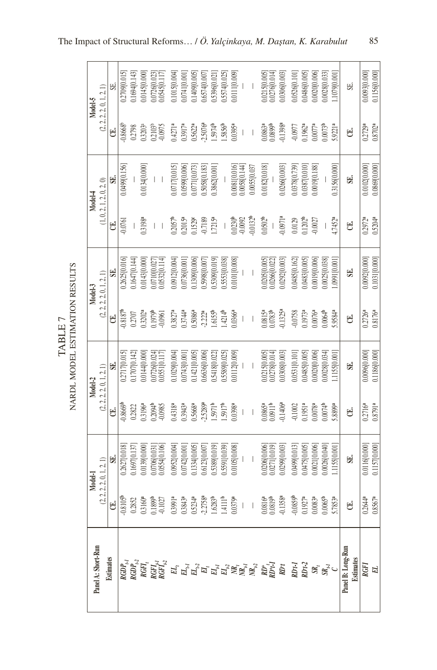| ֦֦֦֦֦֦֦֦֦֦֦֦֦֦֦֦֦֦֦֦֦֚֚֚֚֚֚֚֚֬֩֩֩֩֩֩֩֩֩֓֓֡֘֩֓֡֘֘֘֘֝֘֘֘֘֘֘֡֘֘֘֡֡֓֡֘<br>Ļ<br>TA PI | MTONDETITTC<br>Ę<br><b>ERUOL</b><br>٦<br>IA R NI |
|----------------------------------------------------------------------------------|--------------------------------------------------|
|----------------------------------------------------------------------------------|--------------------------------------------------|

|                                                                                                                                                                                                                                      |                                | Model-1                         |                                                | Model-2                          |                                | Model-3                            |                                | Model-4                          |                                | Model-5                                                       |
|--------------------------------------------------------------------------------------------------------------------------------------------------------------------------------------------------------------------------------------|--------------------------------|---------------------------------|------------------------------------------------|----------------------------------|--------------------------------|------------------------------------|--------------------------------|----------------------------------|--------------------------------|---------------------------------------------------------------|
| Panel A: Short-Run                                                                                                                                                                                                                   |                                | (2, 2, 2, 2, 0, 1, 2, 1)        |                                                | (2, 2, 2, 2, 0, 1, 2, 1)         |                                | (2, 2, 2, 2, 0, 1, 2, 1)           |                                | (1, 0, 2, 1, 2, 0, 2, 0)         |                                | (2, 2, 2, 2, 0, 1, 2, 1)                                      |
| <b>Estimates</b>                                                                                                                                                                                                                     | U                              | SE.                             | U                                              | S.                               | U                              | S.                                 | U.                             | S.                               | E                              | SE.                                                           |
|                                                                                                                                                                                                                                      | $-0.8105$ <sup>t</sup>         | 0.2627[0.018]                   | $-0.8669$                                      | (2717[0.015]                     | 0.8187                         | .2625[0.016]                       | 0.0761                         | 0.0499 [0.156                    | 0.8668 <sup>t</sup>            | 1.2709 [0.015]                                                |
|                                                                                                                                                                                                                                      | 0.2852                         | 1.1697[0.137]                   | 0.2822                                         | .1707[0.142]                     | 0.2707                         | 1647 [0.144]                       |                                | $\mid$                           | 0.2798                         | 1694 [0.143]                                                  |
|                                                                                                                                                                                                                                      | $0.3160^{a}$                   |                                 | 1.3196 <sup>a</sup>                            | .01410.000                       | $13202^8$                      | 0.0143 [0.000                      | 3.3198 <sup>a</sup>            | 0.0134[0.000]                    | $1.3203$ <sup>s</sup>          | 0.0145 [0.000                                                 |
|                                                                                                                                                                                                                                      | 0.1899b                        | 0.0706[0.031]<br>0.0554[0.106]  | 3094<br>0.0985                                 | 0.0726 [0.024]<br>0.0551 [0.117] | 1979 <sup>b</sup>              | $0.0710[0.027]$<br>$0.0532[0.114]$ | $\begin{array}{c} \end{array}$ |                                  | 0.2103 <sup>8</sup>            | $\begin{array}{c} 0.0726[0.023] \\ 0.0545[0.117] \end{array}$ |
|                                                                                                                                                                                                                                      |                                |                                 |                                                |                                  |                                |                                    |                                |                                  |                                |                                                               |
|                                                                                                                                                                                                                                      | $0.3991^{a}$                   | 0.0952[0.004]                   | $0.4318^{a}$                                   | 1029 [0.004]                     | $0.3827$ <sup>a</sup>          | 0.0912 [0.004                      | $0.2057$ <sup>b</sup>          | 0.0717[0.015]                    | $0.4271$ <sup>a</sup>          | 0.1015 [0.004]                                                |
|                                                                                                                                                                                                                                      | 0.3843 <sup>a</sup>            | 10000120001                     | 0.3943a                                        | 10001340.001                     | 0.374a                         | 100009960001                       | 2015 <sup>a</sup>              | 00000069010                      | 0.3917 <sup>a</sup>            | 1000112001                                                    |
|                                                                                                                                                                                                                                      | $.5234$ <sup>a</sup>           | 1334 [0.005]                    | 0.5668ª                                        | 1421 [0.005]                     | 0.5086 <sup>a</sup>            | 1309[0.006]                        | 11529                          | 0771[0.073]                      | $0.5622$ <sup>a</sup>          | 1.1409 [0.005]                                                |
|                                                                                                                                                                                                                                      | 2.2758ª                        | 1.6123[0.007]                   | $-2.5289a$                                     | .6636[0.006                      | 2.22 <sup>a</sup>              | 5998[0.007                         | $-0.7189$                      | 5058[0.183]                      | 2.5076 <sup>a</sup>            | .6574[0.007]                                                  |
|                                                                                                                                                                                                                                      | 1.6283 <sup>b</sup>            | 1.5389[0.019]                   | $1.5971^{b}$                                   | 5418[0.022]                      | $6155^{b}$                     | [610'0]6055'                       | $1.7215^{a}$                   | 1,3862[0.001                     | 1.5974 <sup>b</sup>            | 1.5396[0.021]                                                 |
|                                                                                                                                                                                                                                      | 1.4111 <sup>b</sup>            | 1,5591 [0.039]                  | $1.5917$ <sup>th</sup>                         | .5589[0.025]                     | 4214                           | 5553[0.038]                        | $\begin{array}{c} \end{array}$ |                                  | 1.5856                         | 1.5574 [0.025]                                                |
|                                                                                                                                                                                                                                      | 0.0379a                        | 0.0105 [0.008                   | 0.0398 <sup>a</sup>                            | 0.0112 [0.009]                   | 0.0366 <sup>a</sup>            | 0.0101 [0.008]                     | 0.0230 <sup>b</sup>            | 0.0081 [0.016]<br>0.0058 [0.144] | 0.0395a                        | 0.0111 [0.009]                                                |
|                                                                                                                                                                                                                                      | $\mid$                         |                                 | $\mid$                                         |                                  | $\begin{array}{c} \end{array}$ | $\begin{array}{c} \end{array}$     | $-0.0092$                      |                                  | $\begin{array}{c} \end{array}$ |                                                               |
|                                                                                                                                                                                                                                      | $\begin{array}{c} \end{array}$ |                                 |                                                |                                  | $\vert$                        |                                    | $0.0132^{b}$                   | 0.0055[0.037]                    |                                |                                                               |
| en de la partie de la partie de la partie de la partie de la partie de la partie de la partie de la partie de<br>1990 : la partie de la partie de la partie de la partie de la partie de la partie de la partie de la partie d<br>19 | ).0816ª<br>0.0819              | 0.0206[0.006]<br>0.0271 [0.019] | $0.0865$ <sup>a</sup><br>$0.0911$ <sup>b</sup> | 0.0215 [0.005]<br>0.0278 [0.014] | 0.0815ª<br>0.0783ª             | 0.020510.005]<br>0.0266[0.022]     | $0.0502^{b}$                   | 0.0182 [0.018]                   | 0.0863ª                        | $0.0215[0.005]$<br>$0.0276[0.014]$                            |
|                                                                                                                                                                                                                                      | $0.1358^{a}$                   | 10299[0.003]                    | $-0.1406^{a}$                                  | .0308[0.003]                     | $0.1325^{a}$                   | 0.0292[0.003]                      | $0.0971$ <sup>a</sup>          | 0.0266[0.003]                    | 0.1398a                        | 0.0306[0.003]                                                 |
|                                                                                                                                                                                                                                      | $-0.0859$                      | 10499[0.013]                    | $-0.1002$                                      | 0.0531 [0.101]                   | $-0.0758$                      | 0.0485 [0.162                      | 0.0129                         | 0378[0.739                       | 0.0977                         | 0.0526[0.101                                                  |
|                                                                                                                                                                                                                                      | 0.1927 <sup>a</sup>            | 0.0475[0.005]                   | 0.1951 <sup>a</sup>                            | 1.0485 [0.005]                   | $0.1973$ <sup>a</sup>          | 0.0483 [0.005                      | 0.1202 <sup>b</sup>            | 0387 [0.010]                     | $0.1962$ <sup>a</sup>          | 0.0486[0.005]                                                 |
|                                                                                                                                                                                                                                      | 0.0083 <sup>a</sup>            | 0.0021 [0.006]                  | 0.0078a                                        | 0020[0.006]                      | 0.0076 <sup>a</sup>            | 0.0019 [0.006                      | 0.0027                         | 0.019 [0.188]                    | $0.0077$ <sup>a</sup>          | 0.0020[0.006]                                                 |
|                                                                                                                                                                                                                                      | $0.0065^{b}$                   | 0.0026[0.040]                   | 0.0074                                         | 10028 [0.034]                    | 0.0064 <sup>b</sup>            | 0.002510.038                       |                                |                                  | $0.0073^{b}$                   | 0.0028 [0.033]                                                |
|                                                                                                                                                                                                                                      | 5.7853ª                        | 1155[0.001                      | 8899ª                                          | 1155[0.001]                      | 5.9584ª                        | 0991[0.00]                         | I.7452ª                        | 0.3156[0.000                     | $5.9221$ <sup>a</sup>          | 1079[0.001                                                    |
| Panel B: Long-Run<br>Estimates<br>RGFI                                                                                                                                                                                               | U                              | U.                              | É                                              | S.                               | U                              | U.                                 | U                              | SE.                              | É                              | SE.                                                           |
|                                                                                                                                                                                                                                      | $0.2644$ <sup>a</sup>          | 0.0116[0.000]                   | $0.2716^{a}$                                   |                                  | $0.2726^a$                     | 0.009210.000                       | 0.2972a                        | 0.0102[0.000]                    | 0.2729a                        | 0.009310.000                                                  |
|                                                                                                                                                                                                                                      | $0.8567$ <sup>a</sup>          | 0.115710.0001                   | 0.8791a                                        | 0.118610.0001                    | 0.8176 <sup>a</sup>            | 0.103110.000                       | 0.5204 <sup>a</sup>            | 0.086910.000                     | 0.8702 <sup>a</sup>            | 0.115610.000                                                  |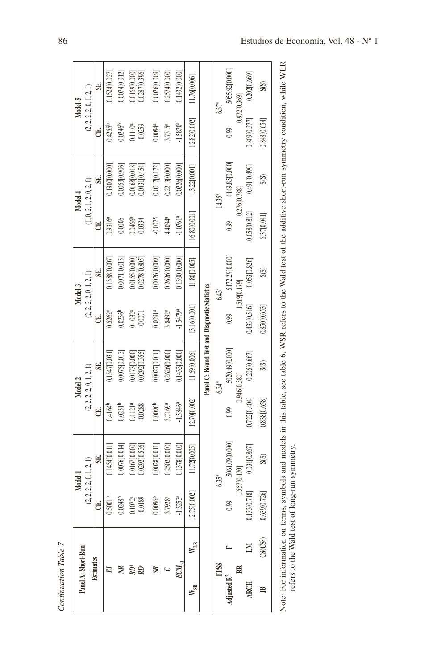| Panel A: Short-Run      |                            |                        | Model-1                  |                     | Model-2                                       |                     | Model-3                  |              | Model-4                  |                       | Model-5                  |
|-------------------------|----------------------------|------------------------|--------------------------|---------------------|-----------------------------------------------|---------------------|--------------------------|--------------|--------------------------|-----------------------|--------------------------|
|                         |                            |                        | (2, 2, 2, 2, 0, 1, 2, 1) |                     | (2, 2, 2, 2, 0, 1, 2, 1)                      |                     | (2, 2, 2, 2, 0, 1, 2, 1) |              | (1, 0, 2, 1, 2, 0, 2, 0) |                       | (2, 2, 2, 2, 0, 1, 2, 1) |
| Estimates               |                            | U                      | SE.                      | U                   | SE.                                           | U                   | S.                       | E            | SE.                      | U.                    | SE.                      |
| ⊠                       |                            | 0.5001 <sup>b</sup>    | 0.1454[0.011]            | $0.4164^{b}$        | 0.1547 [0.031]                                | $0.5262^{a}$        | 0.1388 [0.007]           | $0.9316^{a}$ | 00000000010              | $0.4255^{b}$          | 0.1524 [0.027            |
|                         |                            | $0.0248^{b}$           | 0.0076[0.014]            | $0.0251^{b}$        | 0.0075[0.013]                                 | $0.0236^{b}$        | $0.0071$ [0.013]         | 0.0006       | 0.0053[0.906]            | $0.0246^{\circ}$      | 0.0074[0.012]            |
|                         |                            | 0.1072a                | 0.016710.000             | 0.1121 <sup>a</sup> | 0.017310.000                                  | 0.1032 <sup>a</sup> | 0.0155 [0.000]           | 0,0466       | 0.0168[0.018]            | 0.1110 <sup>a</sup>   | 0.016910.000             |
| ŔĐ                      |                            | $-0.0189$              | 0.0292[0.536]            | $-0.0288$           | 0.0292[0.355]                                 | $-0.0071$           | 0.0278[0.805]            | 0.0334       | 0.0431[0.454]            | $-0.0259$             | 0.0287[0.396]            |
| $\mathbb{R}$            |                            | 0.0096 <sup>b</sup>    | 0.0028 [0.011]           | 0.0096 <sup>b</sup> | 0.0027 [0.010]                                | 0.0091 <sup>a</sup> | 0.0026[0.009]            | $-0.0025$    | 0.0017[0.172]            | $0.0094$ <sup>a</sup> | 0.0026[0.009]            |
|                         |                            | 3.7928ª                | 0.2502 [0.000]           | 3.7169а             | 0.2626[0.000]                                 | 3.8492ª             | 0.2626[0.000]            | 4.4094ª      | 0.2213 [0.000]           | 3.7315ª               | 0.2574 [0.000]           |
|                         |                            | $-1.5253$ <sup>a</sup> | 0.1378 [0.000]           | $-1.5846a$          | 0.1433 [0.000]                                | $-1.5479a$          | 0.1390[0.000]            | 1.0761ª      | 0.0226[0.000]            | $-1.58709$            | 0.143210.000             |
| $W_{SR}$                | $W_{LR}$                   | 12.75[0.002]           | 11.72[0.005]             | 12.70[0.002]        | 11.69[0.006]                                  | 13.16[0.001]        | 11.80[0.005]             | 16.80[0.001] | 13.22[0.001]             | 12.82 [0.002]         | 11.76[0.006]             |
|                         |                            |                        |                          |                     | Panel C: Bound Test and Diagnostic Statistics |                     |                          |              |                          |                       |                          |
| <b>FPSS</b>             |                            |                        | 635*                     |                     | $634*$                                        |                     | $6.43*$                  |              | 14.35*                   |                       | $637*$                   |
| Adjusted R <sup>2</sup> |                            | 0.99                   | 5061.09[0.000]           | 0.99                | 5020.49 [0.000]                               | 0.99                | 5172.29 [0.000]          | 0.99         | 4149.85 [0.000]          | 0.99                  | 5055.92[0.000]           |
|                         |                            |                        | 1,557[0.170]             |                     | 0.946[0.380]                                  |                     | 1,519[0.179]             |              | 0.276[0.788]             |                       | 0.972[0.369]             |
| <b>ARCH</b>             |                            | 0.133[0.718]           | 0.031[0.867]             | 0.722[0.404]        | 0.205[0.667]                                  | 0.433[0.516]        | 0.053[0.826]             | 0.058[0.812] | 0.491[0.499]             | 0.809[0.377]          | 0.202[0.669]             |
| Ê,                      | $\mathrm{CS}(\mathrm{CS})$ | 0.639[0.726]           | S(S)                     | 0.838 [0.658]       | S(S)                                          | 0.850[0.653]        | S(S)                     | 6.37[0.041]  | S(S)                     | 0.848[0.654]          | S(S)                     |